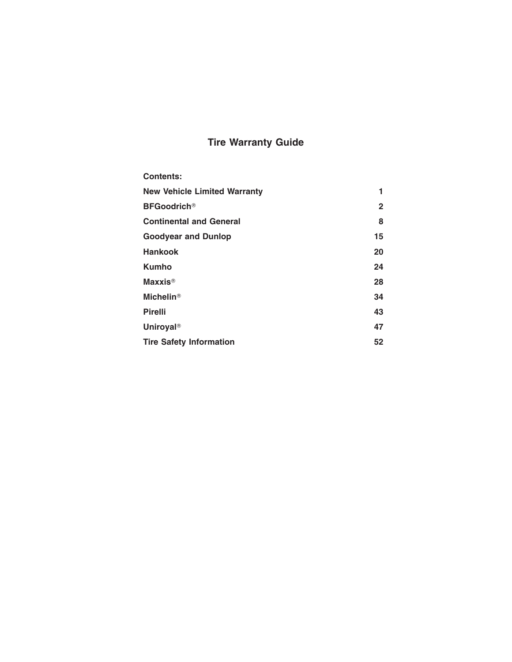# **Tire Warranty Guide**

| <b>Contents:</b>                    |    |
|-------------------------------------|----|
| <b>New Vehicle Limited Warranty</b> | 1  |
| <b>BFGoodrich®</b>                  | 2  |
| <b>Continental and General</b>      | 8  |
| <b>Goodyear and Dunlop</b>          | 15 |
| <b>Hankook</b>                      | 20 |
| <b>Kumho</b>                        | 24 |
| <b>Maxxis<sup>®</sup></b>           | 28 |
| <b>Michelin®</b>                    | 34 |
| <b>Pirelli</b>                      | 43 |
| <b>Uniroyal®</b>                    | 47 |
| <b>Tire Safety Information</b>      | 52 |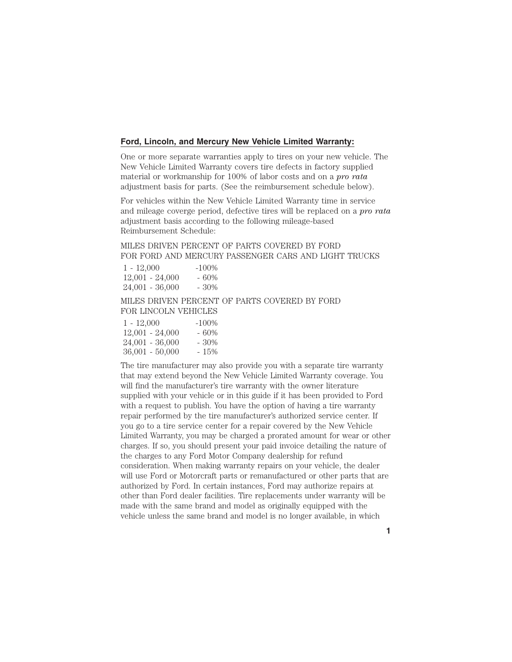# **Ford, Lincoln, and Mercury New Vehicle Limited Warranty:**

One or more separate warranties apply to tires on your new vehicle. The New Vehicle Limited Warranty covers tire defects in factory supplied material or workmanship for 100% of labor costs and on a *pro rata* adjustment basis for parts. (See the reimbursement schedule below).

For vehicles within the New Vehicle Limited Warranty time in service and mileage coverge period, defective tires will be replaced on a *pro rata* adjustment basis according to the following mileage-based Reimbursement Schedule:

# MILES DRIVEN PERCENT OF PARTS COVERED BY FORD FOR FORD AND MERCURY PASSENGER CARS AND LIGHT TRUCKS

| $1 - 12,000$      | $-100\%$ |
|-------------------|----------|
| $12,001 - 24,000$ | $-60%$   |
| $24,001 - 36,000$ | $-30\%$  |

MILES DRIVEN PERCENT OF PARTS COVERED BY FORD FOR LINCOLN VEHICLES

| $1 - 12,000$      | $-100\%$ |
|-------------------|----------|
| $12,001 - 24,000$ | - 60%    |
| $24,001 - 36,000$ | - 30%    |
| $36,001 - 50,000$ | - 15%    |

The tire manufacturer may also provide you with a separate tire warranty that may extend beyond the New Vehicle Limited Warranty coverage. You will find the manufacturer's tire warranty with the owner literature supplied with your vehicle or in this guide if it has been provided to Ford with a request to publish. You have the option of having a tire warranty repair performed by the tire manufacturer's authorized service center. If you go to a tire service center for a repair covered by the New Vehicle Limited Warranty, you may be charged a prorated amount for wear or other charges. If so, you should present your paid invoice detailing the nature of the charges to any Ford Motor Company dealership for refund consideration. When making warranty repairs on your vehicle, the dealer will use Ford or Motorcraft parts or remanufactured or other parts that are authorized by Ford. In certain instances, Ford may authorize repairs at other than Ford dealer facilities. Tire replacements under warranty will be made with the same brand and model as originally equipped with the vehicle unless the same brand and model is no longer available, in which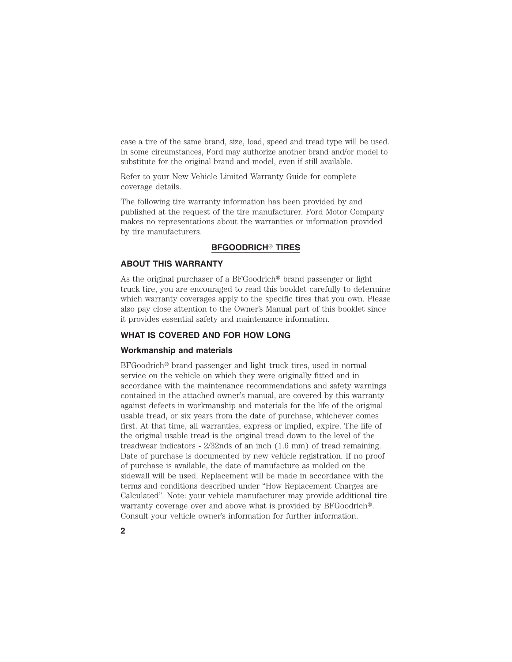case a tire of the same brand, size, load, speed and tread type will be used. In some circumstances, Ford may authorize another brand and/or model to substitute for the original brand and model, even if still available.

Refer to your New Vehicle Limited Warranty Guide for complete coverage details.

The following tire warranty information has been provided by and published at the request of the tire manufacturer. Ford Motor Company makes no representations about the warranties or information provided by tire manufacturers.

#### **BFGOODRICH**- **TIRES**

# **ABOUT THIS WARRANTY**

As the original purchaser of a BFGoodrich<sup>®</sup> brand passenger or light truck tire, you are encouraged to read this booklet carefully to determine which warranty coverages apply to the specific tires that you own. Please also pay close attention to the Owner's Manual part of this booklet since it provides essential safety and maintenance information.

# **WHAT IS COVERED AND FOR HOW LONG**

#### **Workmanship and materials**

 $BFGoodrich<sup>®</sup>$  brand passenger and light truck tires, used in normal service on the vehicle on which they were originally fitted and in accordance with the maintenance recommendations and safety warnings contained in the attached owner's manual, are covered by this warranty against defects in workmanship and materials for the life of the original usable tread, or six years from the date of purchase, whichever comes first. At that time, all warranties, express or implied, expire. The life of the original usable tread is the original tread down to the level of the treadwear indicators - 2/32nds of an inch (1.6 mm) of tread remaining. Date of purchase is documented by new vehicle registration. If no proof of purchase is available, the date of manufacture as molded on the sidewall will be used. Replacement will be made in accordance with the terms and conditions described under "How Replacement Charges are Calculated". Note: your vehicle manufacturer may provide additional tire warranty coverage over and above what is provided by BFGoodrich<sup>®</sup>. Consult your vehicle owner's information for further information.

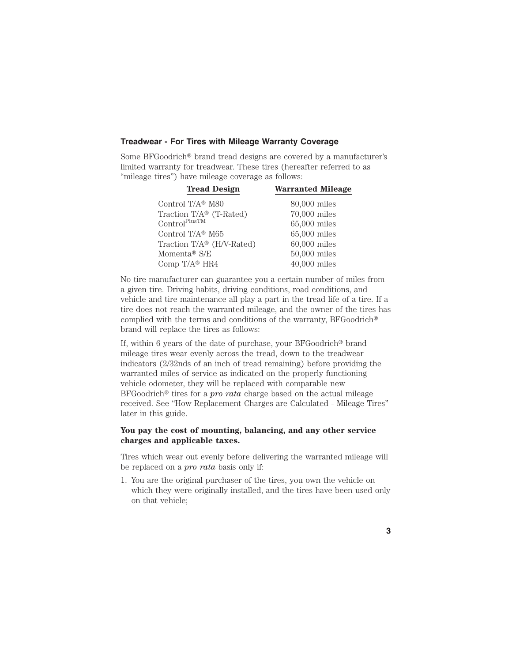### **Treadwear - For Tires with Mileage Warranty Coverage**

Some BFGoodrich<sup>®</sup> brand tread designs are covered by a manufacturer's limited warranty for treadwear. These tires (hereafter referred to as "mileage tires") have mileage coverage as follows:

| <b>Warranted Mileage</b> |
|--------------------------|
| 80,000 miles             |
| $70,000$ miles           |
| 65,000 miles             |
| $65,000$ miles           |
| $60,000$ miles           |
| $50,000$ miles           |
| $40,000$ miles           |
|                          |

No tire manufacturer can guarantee you a certain number of miles from a given tire. Driving habits, driving conditions, road conditions, and vehicle and tire maintenance all play a part in the tread life of a tire. If a tire does not reach the warranted mileage, and the owner of the tires has complied with the terms and conditions of the warranty, BFGoodrich brand will replace the tires as follows:

If, within 6 years of the date of purchase, your  $BFG$ oodrich<sup>®</sup> brand mileage tires wear evenly across the tread, down to the treadwear indicators (2/32nds of an inch of tread remaining) before providing the warranted miles of service as indicated on the properly functioning vehicle odometer, they will be replaced with comparable new BFGoodrich<sup>®</sup> tires for a *pro rata* charge based on the actual mileage received. See "How Replacement Charges are Calculated - Mileage Tires" later in this guide.

# **You pay the cost of mounting, balancing, and any other service charges and applicable taxes.**

Tires which wear out evenly before delivering the warranted mileage will be replaced on a *pro rata* basis only if:

1. You are the original purchaser of the tires, you own the vehicle on which they were originally installed, and the tires have been used only on that vehicle;

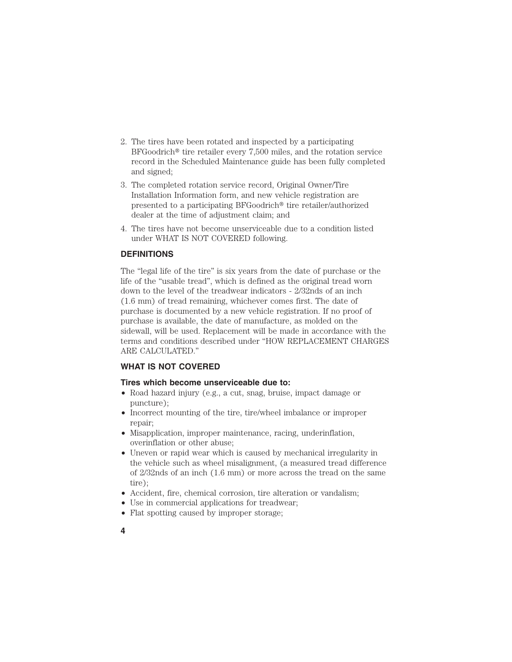- 2. The tires have been rotated and inspected by a participating  $BFGoodrich<sup>®</sup>$  tire retailer every 7,500 miles, and the rotation service record in the Scheduled Maintenance guide has been fully completed and signed;
- 3. The completed rotation service record, Original Owner/Tire Installation Information form, and new vehicle registration are presented to a participating  $BFGoodrich^{\circ}$  tire retailer/authorized dealer at the time of adjustment claim; and
- 4. The tires have not become unserviceable due to a condition listed under WHAT IS NOT COVERED following.

# **DEFINITIONS**

The "legal life of the tire" is six years from the date of purchase or the life of the "usable tread", which is defined as the original tread worn down to the level of the treadwear indicators - 2/32nds of an inch (1.6 mm) of tread remaining, whichever comes first. The date of purchase is documented by a new vehicle registration. If no proof of purchase is available, the date of manufacture, as molded on the sidewall, will be used. Replacement will be made in accordance with the terms and conditions described under "HOW REPLACEMENT CHARGES ARE CALCULATED."

### **WHAT IS NOT COVERED**

#### **Tires which become unserviceable due to:**

- Road hazard injury (e.g., a cut, snag, bruise, impact damage or puncture);
- Incorrect mounting of the tire, tire/wheel imbalance or improper repair;
- Misapplication, improper maintenance, racing, underinflation, overinflation or other abuse;
- Uneven or rapid wear which is caused by mechanical irregularity in the vehicle such as wheel misalignment, (a measured tread difference of 2/32nds of an inch (1.6 mm) or more across the tread on the same tire);
- Accident, fire, chemical corrosion, tire alteration or vandalism;
- Use in commercial applications for treadwear;
- Flat spotting caused by improper storage;
- **4**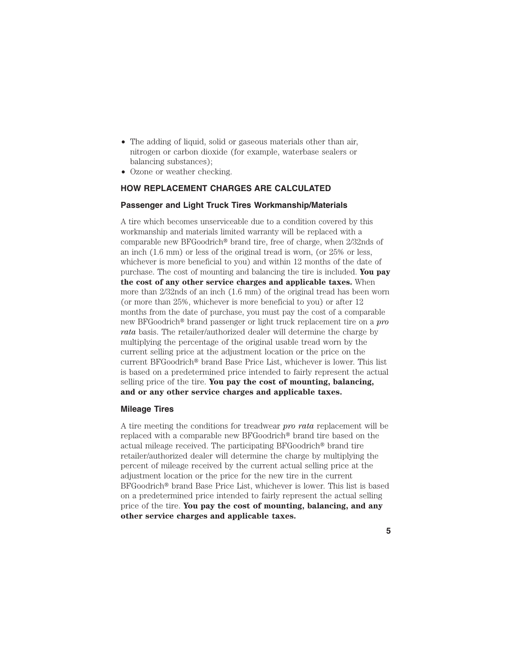- The adding of liquid, solid or gaseous materials other than air, nitrogen or carbon dioxide (for example, waterbase sealers or balancing substances);
- Ozone or weather checking.

# **HOW REPLACEMENT CHARGES ARE CALCULATED**

#### **Passenger and Light Truck Tires Workmanship/Materials**

A tire which becomes unserviceable due to a condition covered by this workmanship and materials limited warranty will be replaced with a comparable new BFGoodrich<sup>®</sup> brand tire, free of charge, when  $2/32$ nds of an inch (1.6 mm) or less of the original tread is worn, (or 25% or less, whichever is more beneficial to you) and within 12 months of the date of purchase. The cost of mounting and balancing the tire is included. **You pay the cost of any other service charges and applicable taxes.** When more than 2/32nds of an inch (1.6 mm) of the original tread has been worn (or more than 25%, whichever is more beneficial to you) or after 12 months from the date of purchase, you must pay the cost of a comparable new BFGoodrich<sup>®</sup> brand passenger or light truck replacement tire on a *pro rata* basis. The retailer/authorized dealer will determine the charge by multiplying the percentage of the original usable tread worn by the current selling price at the adjustment location or the price on the current BFGoodrich<sup>®</sup> brand Base Price List, whichever is lower. This list is based on a predetermined price intended to fairly represent the actual selling price of the tire. **You pay the cost of mounting, balancing, and or any other service charges and applicable taxes.**

### **Mileage Tires**

A tire meeting the conditions for treadwear *pro rata* replacement will be replaced with a comparable new BFGoodrich<sup>®</sup> brand tire based on the actual mileage received. The participating BFGoodrich<sup>®</sup> brand tire retailer/authorized dealer will determine the charge by multiplying the percent of mileage received by the current actual selling price at the adjustment location or the price for the new tire in the current BFGoodrich<sup>®</sup> brand Base Price List, whichever is lower. This list is based on a predetermined price intended to fairly represent the actual selling price of the tire. **You pay the cost of mounting, balancing, and any other service charges and applicable taxes.**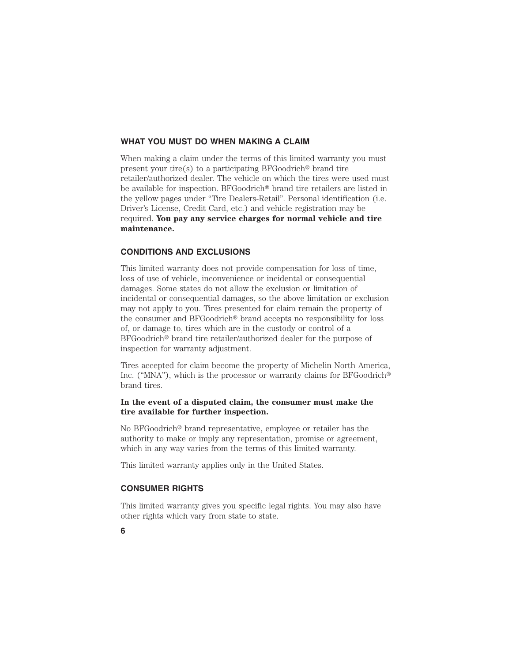### **WHAT YOU MUST DO WHEN MAKING A CLAIM**

When making a claim under the terms of this limited warranty you must present your tire(s) to a participating  $BFGoodrich^{\circledast}$  brand tire retailer/authorized dealer. The vehicle on which the tires were used must be available for inspection. BFGoodrich<sup>®</sup> brand tire retailers are listed in the yellow pages under "Tire Dealers-Retail". Personal identification (i.e. Driver's License, Credit Card, etc.) and vehicle registration may be required. **You pay any service charges for normal vehicle and tire maintenance.**

#### **CONDITIONS AND EXCLUSIONS**

This limited warranty does not provide compensation for loss of time, loss of use of vehicle, inconvenience or incidental or consequential damages. Some states do not allow the exclusion or limitation of incidental or consequential damages, so the above limitation or exclusion may not apply to you. Tires presented for claim remain the property of the consumer and BFGoodrich<sup>®</sup> brand accepts no responsibility for loss of, or damage to, tires which are in the custody or control of a BFGoodrich<sup>®</sup> brand tire retailer/authorized dealer for the purpose of inspection for warranty adjustment.

Tires accepted for claim become the property of Michelin North America, Inc. ("MNA"), which is the processor or warranty claims for BFGoodrich<sup>®</sup> brand tires.

# **In the event of a disputed claim, the consumer must make the tire available for further inspection.**

No BFGoodrich<sup>®</sup> brand representative, employee or retailer has the authority to make or imply any representation, promise or agreement, which in any way varies from the terms of this limited warranty.

This limited warranty applies only in the United States.

# **CONSUMER RIGHTS**

This limited warranty gives you specific legal rights. You may also have other rights which vary from state to state.

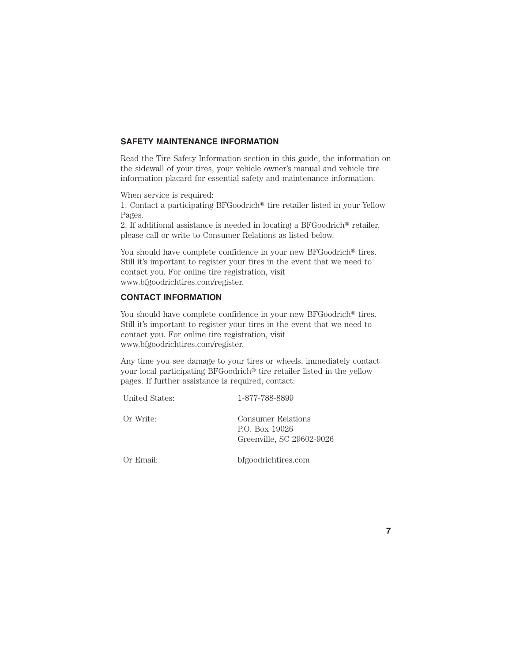# **SAFETY MAINTENANCE INFORMATION**

Read the Tire Safety Information section in this guide, the information on the sidewall of your tires, your vehicle owner's manual and vehicle tire information placard for essential safety and maintenance information.

When service is required:

1. Contact a participating  $BFGoodrich^{\circledast}$  tire retailer listed in your Yellow Pages.

2. If additional assistance is needed in locating a BFGoodrich® retailer, please call or write to Consumer Relations as listed below.

You should have complete confidence in your new BFGoodrich<sup>®</sup> tires. Still it's important to register your tires in the event that we need to contact you. For online tire registration, visit www.bfgoodrichtires.com/register.

# **CONTACT INFORMATION**

You should have complete confidence in your new  $BFG$ oodrich<sup>®</sup> tires. Still it's important to register your tires in the event that we need to contact you. For online tire registration, visit www.bfgoodrichtires.com/register.

Any time you see damage to your tires or wheels, immediately contact your local participating  $BFGoodrich^{\circledast}$  tire retailer listed in the yellow pages. If further assistance is required, contact:

| United States: | 1-877-788-8899                                                    |
|----------------|-------------------------------------------------------------------|
| Or Write:      | Consumer Relations<br>P.O. Box 19026<br>Greenville, SC 29602-9026 |

Or Email: bfgoodrichtires.com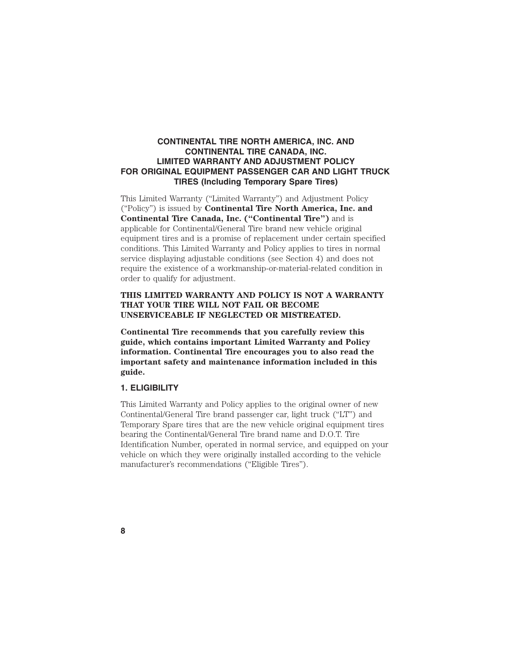# **CONTINENTAL TIRE NORTH AMERICA, INC. AND CONTINENTAL TIRE CANADA, INC. LIMITED WARRANTY AND ADJUSTMENT POLICY FOR ORIGINAL EQUIPMENT PASSENGER CAR AND LIGHT TRUCK TIRES (Including Temporary Spare Tires)**

This Limited Warranty ("Limited Warranty") and Adjustment Policy ("Policy") is issued by **Continental Tire North America, Inc. and Continental Tire Canada, Inc. ("Continental Tire")** and is applicable for Continental/General Tire brand new vehicle original equipment tires and is a promise of replacement under certain specified conditions. This Limited Warranty and Policy applies to tires in normal service displaying adjustable conditions (see Section 4) and does not require the existence of a workmanship-or-material-related condition in order to qualify for adjustment.

# **THIS LIMITED WARRANTY AND POLICY IS NOT A WARRANTY THAT YOUR TIRE WILL NOT FAIL OR BECOME UNSERVICEABLE IF NEGLECTED OR MISTREATED.**

**Continental Tire recommends that you carefully review this guide, which contains important Limited Warranty and Policy information. Continental Tire encourages you to also read the important safety and maintenance information included in this guide.**

# **1. ELIGIBILITY**

**8**

This Limited Warranty and Policy applies to the original owner of new Continental/General Tire brand passenger car, light truck ("LT") and Temporary Spare tires that are the new vehicle original equipment tires bearing the Continental/General Tire brand name and D.O.T. Tire Identification Number, operated in normal service, and equipped on your vehicle on which they were originally installed according to the vehicle manufacturer's recommendations ("Eligible Tires").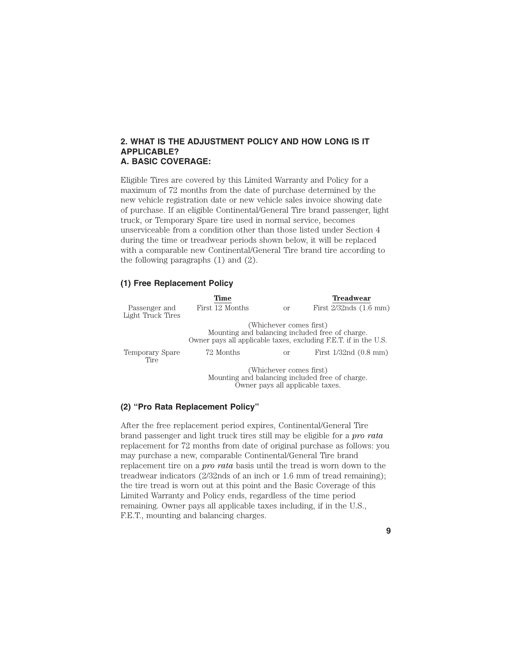# **2. WHAT IS THE ADJUSTMENT POLICY AND HOW LONG IS IT APPLICABLE? A. BASIC COVERAGE:**

Eligible Tires are covered by this Limited Warranty and Policy for a maximum of 72 months from the date of purchase determined by the new vehicle registration date or new vehicle sales invoice showing date of purchase. If an eligible Continental/General Tire brand passenger, light truck, or Temporary Spare tire used in normal service, becomes unserviceable from a condition other than those listed under Section 4 during the time or treadwear periods shown below, it will be replaced with a comparable new Continental/General Tire brand tire according to the following paragraphs (1) and (2).

#### **(1) Free Replacement Policy**

|                                    | Time            |                         | <b>Treadwear</b>                                                                                                    |
|------------------------------------|-----------------|-------------------------|---------------------------------------------------------------------------------------------------------------------|
| Passenger and<br>Light Truck Tires | First 12 Months | <sub>or</sub>           | First $2/32$ nds $(1.6$ mm)                                                                                         |
|                                    |                 | (Whichever comes first) | Mounting and balancing included free of charge.<br>Owner pays all applicable taxes, excluding F.E.T. if in the U.S. |
| Temporary Spare<br>Tire            | 72 Months       | οr                      | First $1/32nd(0.8$ mm)                                                                                              |
|                                    |                 | (Whichever comes first) | Mounting and balancing included free of charge.<br>Owner pays all applicable taxes.                                 |

# **(2) ''Pro Rata Replacement Policy''**

After the free replacement period expires, Continental/General Tire brand passenger and light truck tires still may be eligible for a *pro rata* replacement for 72 months from date of original purchase as follows: you may purchase a new, comparable Continental/General Tire brand replacement tire on a *pro rata* basis until the tread is worn down to the treadwear indicators (2/32nds of an inch or 1.6 mm of tread remaining); the tire tread is worn out at this point and the Basic Coverage of this Limited Warranty and Policy ends, regardless of the time period remaining. Owner pays all applicable taxes including, if in the U.S., F.E.T., mounting and balancing charges.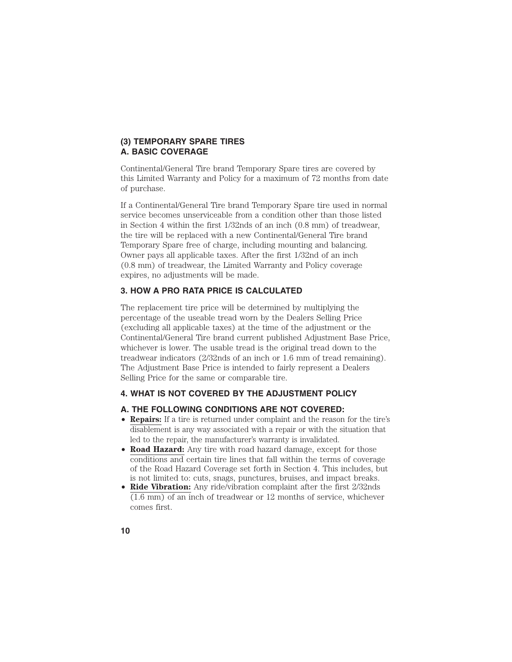# **(3) TEMPORARY SPARE TIRES A. BASIC COVERAGE**

Continental/General Tire brand Temporary Spare tires are covered by this Limited Warranty and Policy for a maximum of 72 months from date of purchase.

If a Continental/General Tire brand Temporary Spare tire used in normal service becomes unserviceable from a condition other than those listed in Section 4 within the first 1/32nds of an inch (0.8 mm) of treadwear, the tire will be replaced with a new Continental/General Tire brand Temporary Spare free of charge, including mounting and balancing. Owner pays all applicable taxes. After the first 1/32nd of an inch (0.8 mm) of treadwear, the Limited Warranty and Policy coverage expires, no adjustments will be made.

# **3. HOW A PRO RATA PRICE IS CALCULATED**

The replacement tire price will be determined by multiplying the percentage of the useable tread worn by the Dealers Selling Price (excluding all applicable taxes) at the time of the adjustment or the Continental/General Tire brand current published Adjustment Base Price, whichever is lower. The usable tread is the original tread down to the treadwear indicators (2/32nds of an inch or 1.6 mm of tread remaining). The Adjustment Base Price is intended to fairly represent a Dealers Selling Price for the same or comparable tire.

# **4. WHAT IS NOT COVERED BY THE ADJUSTMENT POLICY**

# **A. THE FOLLOWING CONDITIONS ARE NOT COVERED:**

- **Repairs:** If a tire is returned under complaint and the reason for the tire's disablement is any way associated with a repair or with the situation that led to the repair, the manufacturer's warranty is invalidated.
- **Road Hazard:** Any tire with road hazard damage, except for those conditions and certain tire lines that fall within the terms of coverage of the Road Hazard Coverage set forth in Section 4. This includes, but is not limited to: cuts, snags, punctures, bruises, and impact breaks.
- **Ride Vibration:** Any ride/vibration complaint after the first 2/32nds (1.6 mm) of an inch of treadwear or 12 months of service, whichever comes first.
- **10**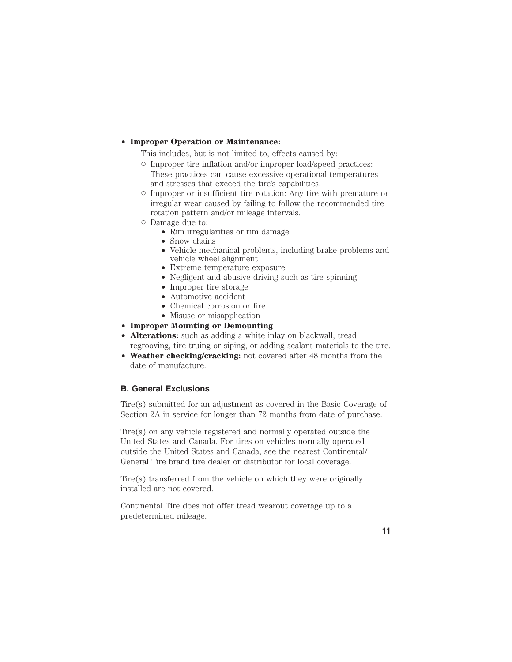# • **Improper Operation or Maintenance:**

This includes, but is not limited to, effects caused by:

- Improper tire inflation and/or improper load/speed practices: These practices can cause excessive operational temperatures and stresses that exceed the tire's capabilities.
- Improper or insufficient tire rotation: Any tire with premature or irregular wear caused by failing to follow the recommended tire rotation pattern and/or mileage intervals.
- Damage due to:
	- Rim irregularities or rim damage
	- Snow chains
	- Vehicle mechanical problems, including brake problems and vehicle wheel alignment
	- Extreme temperature exposure
	- Negligent and abusive driving such as tire spinning.
	- Improper tire storage
	- Automotive accident
	- Chemical corrosion or fire
	- Misuse or misapplication
- **Improper Mounting or Demounting**
- **Alterations:** such as adding a white inlay on blackwall, tread regrooving, tire truing or siping, or adding sealant materials to the tire.
- **Weather checking/cracking:** not covered after 48 months from the date of manufacture.

# **B. General Exclusions**

Tire(s) submitted for an adjustment as covered in the Basic Coverage of Section 2A in service for longer than 72 months from date of purchase.

Tire(s) on any vehicle registered and normally operated outside the United States and Canada. For tires on vehicles normally operated outside the United States and Canada, see the nearest Continental/ General Tire brand tire dealer or distributor for local coverage.

Tire(s) transferred from the vehicle on which they were originally installed are not covered.

Continental Tire does not offer tread wearout coverage up to a predetermined mileage.

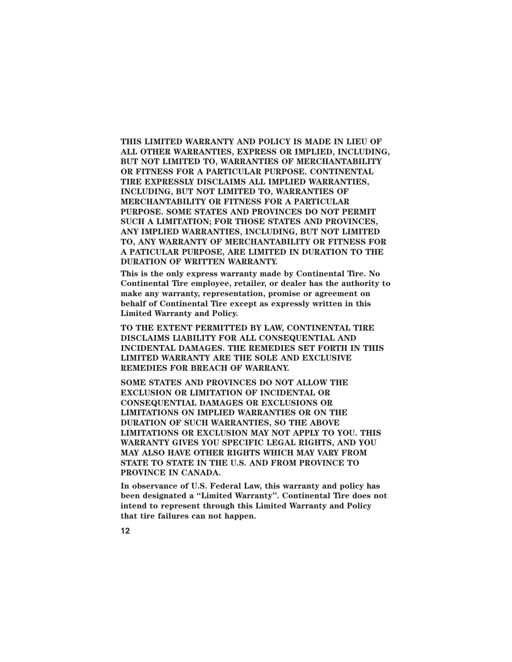**THIS LIMITED WARRANTY AND POLICY IS MADE IN LIEU OF ALL OTHER WARRANTIES, EXPRESS OR IMPLIED, INCLUDING, BUT NOT LIMITED TO, WARRANTIES OF MERCHANTABILITY OR FITNESS FOR A PARTICULAR PURPOSE. CONTINENTAL TIRE EXPRESSLY DISCLAIMS ALL IMPLIED WARRANTIES, INCLUDING, BUT NOT LIMITED TO, WARRANTIES OF MERCHANTABILITY OR FITNESS FOR A PARTICULAR PURPOSE. SOME STATES AND PROVINCES DO NOT PERMIT SUCH A LIMITATION; FOR THOSE STATES AND PROVINCES, ANY IMPLIED WARRANTIES, INCLUDING, BUT NOT LIMITED TO, ANY WARRANTY OF MERCHANTABILITY OR FITNESS FOR A PATICULAR PURPOSE, ARE LIMITED IN DURATION TO THE DURATION OF WRITTEN WARRANTY.**

**This is the only express warranty made by Continental Tire. No Continental Tire employee, retailer, or dealer has the authority to make any warranty, representation, promise or agreement on behalf of Continental Tire except as expressly written in this Limited Warranty and Policy.**

**TO THE EXTENT PERMITTED BY LAW, CONTINENTAL TIRE DISCLAIMS LlABILITY FOR ALL CONSEQUENTIAL AND INCIDENTAL DAMAGES. THE REMEDIES SET FORTH IN THIS LIMITED WARRANTY ARE THE SOLE AND EXCLUSIVE REMEDIES FOR BREACH OF WARRANY.**

**SOME STATES AND PROVINCES DO NOT ALLOW THE EXCLUSION OR LIMITATION OF INCIDENTAL OR CONSEQUENTIAL DAMAGES OR EXCLUSIONS OR LIMITATIONS ON IMPLIED WARRANTIES OR ON THE DURATION OF SUCH WARRANTIES, SO THE ABOVE LIMITATIONS OR EXCLUSION MAY NOT APPLY TO YOU. THIS WARRANTY GIVES YOU SPECIFIC LEGAL RIGHTS, AND YOU MAY ALSO HAVE OTHER RIGHTS WHICH MAY VARY FROM STATE TO STATE IN THE U.S. AND FROM PROVINCE TO PROVINCE IN CANADA.**

**In observance of U.S. Federal Law, this warranty and policy has been designated a "Limited Warranty". Continental Tire does not intend to represent through this Limited Warranty and Policy that tire failures can not happen.**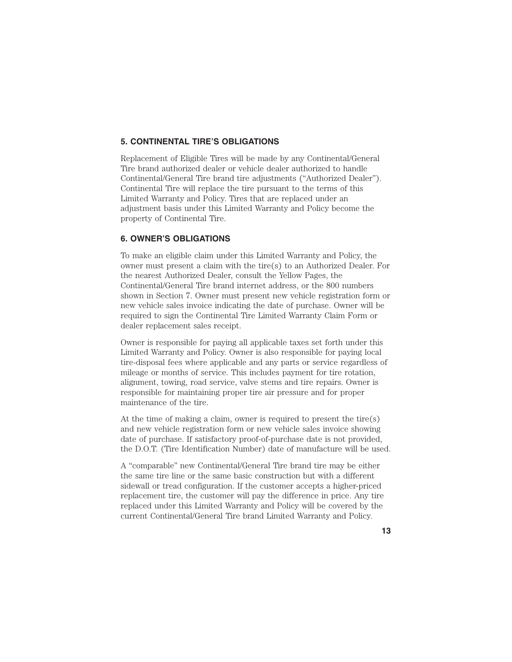# **5. CONTINENTAL TIRE'S OBLIGATIONS**

Replacement of Eligible Tires will be made by any Continental/General Tire brand authorized dealer or vehicle dealer authorized to handle Continental/General Tire brand tire adjustments ("Authorized Dealer"). Continental Tire will replace the tire pursuant to the terms of this Limited Warranty and Policy. Tires that are replaced under an adjustment basis under this Limited Warranty and Policy become the property of Continental Tire.

# **6. OWNER'S OBLIGATIONS**

To make an eligible claim under this Limited Warranty and Policy, the owner must present a claim with the tire(s) to an Authorized Dealer. For the nearest Authorized Dealer, consult the Yellow Pages, the Continental/General Tire brand internet address, or the 800 numbers shown in Section 7. Owner must present new vehicle registration form or new vehicle sales invoice indicating the date of purchase. Owner will be required to sign the Continental Tire Limited Warranty Claim Form or dealer replacement sales receipt.

Owner is responsible for paying all applicable taxes set forth under this Limited Warranty and Policy. Owner is also responsible for paying local tire-disposal fees where applicable and any parts or service regardless of mileage or months of service. This includes payment for tire rotation, alignment, towing, road service, valve stems and tire repairs. Owner is responsible for maintaining proper tire air pressure and for proper maintenance of the tire.

At the time of making a claim, owner is required to present the tire(s) and new vehicle registration form or new vehicle sales invoice showing date of purchase. If satisfactory proof-of-purchase date is not provided, the D.O.T. (Tire Identification Number) date of manufacture will be used.

A "comparable" new Continental/General Tire brand tire may be either the same tire line or the same basic construction but with a different sidewall or tread configuration. If the customer accepts a higher-priced replacement tire, the customer will pay the difference in price. Any tire replaced under this Limited Warranty and Policy will be covered by the current Continental/General Tire brand Limited Warranty and Policy.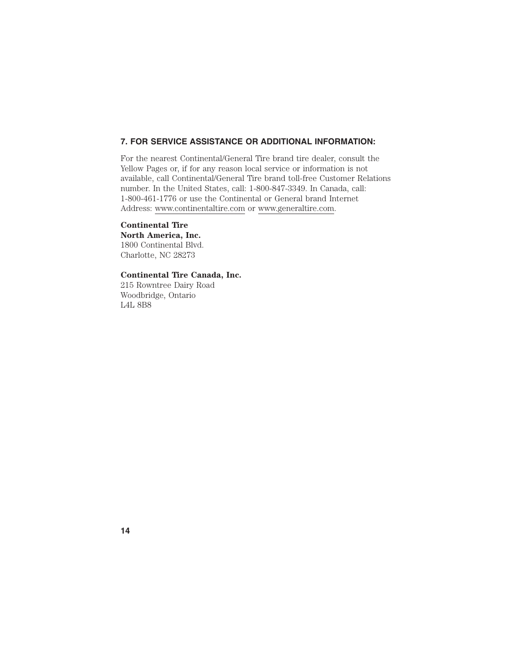# **7. FOR SERVICE ASSISTANCE OR ADDITIONAL INFORMATION:**

For the nearest Continental/General Tire brand tire dealer, consult the Yellow Pages or, if for any reason local service or information is not available, call Continental/General Tire brand toll-free Customer Relations number. In the United States, call: 1-800-847-3349. In Canada, call: 1-800-461-1776 or use the Continental or General brand Internet Address: www.continentaltire.com or www.generaltire.com.

# **Continental Tire**

**North America, Inc.** 1800 Continental Blvd. Charlotte, NC 28273

# **Continental Tire Canada, Inc.**

215 Rowntree Dairy Road Woodbridge, Ontario L4L 8B8

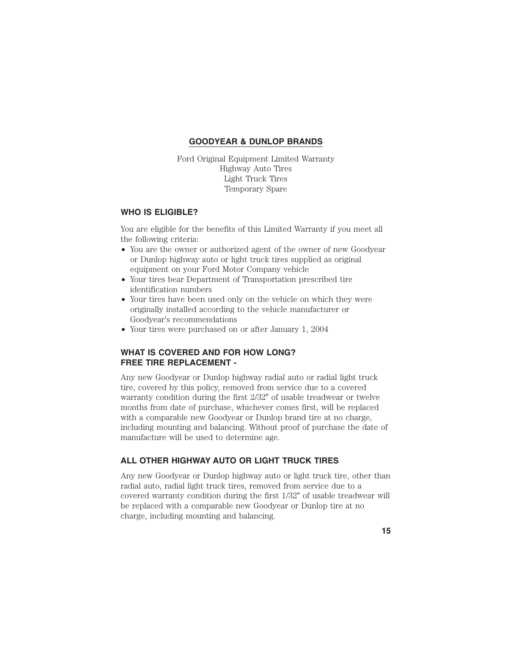# **GOODYEAR & DUNLOP BRANDS**

Ford Original Equipment Limited Warranty Highway Auto Tires Light Truck Tires Temporary Spare

# **WHO IS ELIGIBLE?**

You are eligible for the benefits of this Limited Warranty if you meet all the following criteria:

- You are the owner or authorized agent of the owner of new Goodyear or Dunlop highway auto or light truck tires supplied as original equipment on your Ford Motor Company vehicle
- Your tires bear Department of Transportation prescribed tire identification numbers
- Your tires have been used only on the vehicle on which they were originally installed according to the vehicle manufacturer or Goodyear's recommendations
- Your tires were purchased on or after January 1, 2004

# **WHAT IS COVERED AND FOR HOW LONG? FREE TIRE REPLACEMENT -**

Any new Goodyear or Dunlop highway radial auto or radial light truck tire, covered by this policy, removed from service due to a covered warranty condition during the first 2/32" of usable treadwear or twelve months from date of purchase, whichever comes first, will be replaced with a comparable new Goodyear or Dunlop brand tire at no charge, including mounting and balancing. Without proof of purchase the date of manufacture will be used to determine age.

# **ALL OTHER HIGHWAY AUTO OR LIGHT TRUCK TIRES**

Any new Goodyear or Dunlop highway auto or light truck tire, other than radial auto, radial light truck tires, removed from service due to a covered warranty condition during the first  $1/32''$  of usable treadwear will be replaced with a comparable new Goodyear or Dunlop tire at no charge, including mounting and balancing.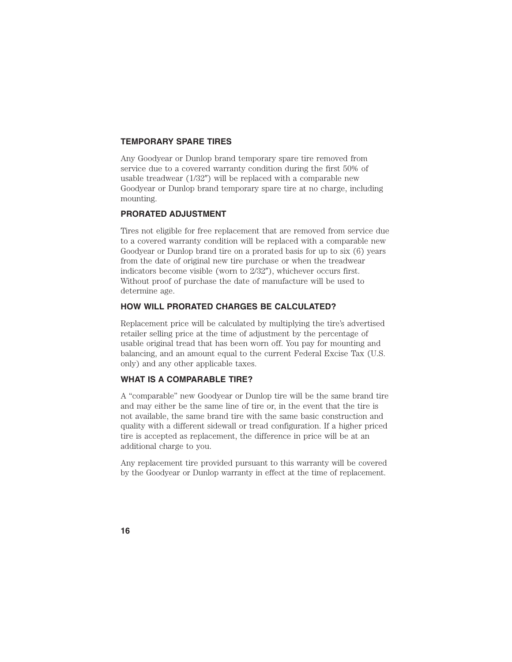### **TEMPORARY SPARE TIRES**

Any Goodyear or Dunlop brand temporary spare tire removed from service due to a covered warranty condition during the first 50% of usable treadwear  $(1/32'')$  will be replaced with a comparable new Goodyear or Dunlop brand temporary spare tire at no charge, including mounting.

# **PRORATED ADJUSTMENT**

Tires not eligible for free replacement that are removed from service due to a covered warranty condition will be replaced with a comparable new Goodyear or Dunlop brand tire on a prorated basis for up to six (6) years from the date of original new tire purchase or when the treadwear indicators become visible (worn to  $2/32$ "), whichever occurs first. Without proof of purchase the date of manufacture will be used to determine age.

#### **HOW WILL PRORATED CHARGES BE CALCULATED?**

Replacement price will be calculated by multiplying the tire's advertised retailer selling price at the time of adjustment by the percentage of usable original tread that has been worn off. You pay for mounting and balancing, and an amount equal to the current Federal Excise Tax (U.S. only) and any other applicable taxes.

#### **WHAT IS A COMPARABLE TIRE?**

A "comparable" new Goodyear or Dunlop tire will be the same brand tire and may either be the same line of tire or, in the event that the tire is not available, the same brand tire with the same basic construction and quality with a different sidewall or tread configuration. If a higher priced tire is accepted as replacement, the difference in price will be at an additional charge to you.

Any replacement tire provided pursuant to this warranty will be covered by the Goodyear or Dunlop warranty in effect at the time of replacement.

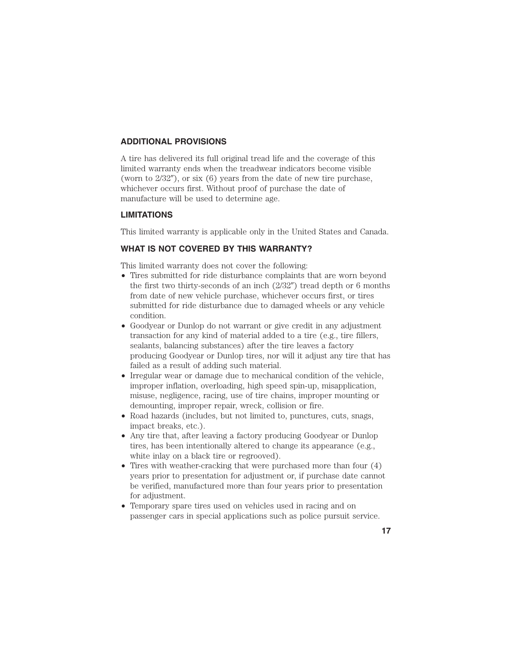# **ADDITIONAL PROVISIONS**

A tire has delivered its full original tread life and the coverage of this limited warranty ends when the treadwear indicators become visible (worn to  $2/32$ "), or six (6) years from the date of new tire purchase, whichever occurs first. Without proof of purchase the date of manufacture will be used to determine age.

### **LIMITATIONS**

This limited warranty is applicable only in the United States and Canada.

# **WHAT IS NOT COVERED BY THIS WARRANTY?**

This limited warranty does not cover the following:

- Tires submitted for ride disturbance complaints that are worn beyond the first two thirty-seconds of an inch  $(2/32'')$  tread depth or 6 months from date of new vehicle purchase, whichever occurs first, or tires submitted for ride disturbance due to damaged wheels or any vehicle condition.
- Goodyear or Dunlop do not warrant or give credit in any adjustment transaction for any kind of material added to a tire (e.g., tire fillers, sealants, balancing substances) after the tire leaves a factory producing Goodyear or Dunlop tires, nor will it adjust any tire that has failed as a result of adding such material.
- Irregular wear or damage due to mechanical condition of the vehicle, improper inflation, overloading, high speed spin-up, misapplication, misuse, negligence, racing, use of tire chains, improper mounting or demounting, improper repair, wreck, collision or fire.
- Road hazards (includes, but not limited to, punctures, cuts, snags, impact breaks, etc.).
- Any tire that, after leaving a factory producing Goodyear or Dunlop tires, has been intentionally altered to change its appearance (e.g., white inlay on a black tire or regrooved).
- Tires with weather-cracking that were purchased more than four  $(4)$ years prior to presentation for adjustment or, if purchase date cannot be verified, manufactured more than four years prior to presentation for adjustment.
- Temporary spare tires used on vehicles used in racing and on passenger cars in special applications such as police pursuit service.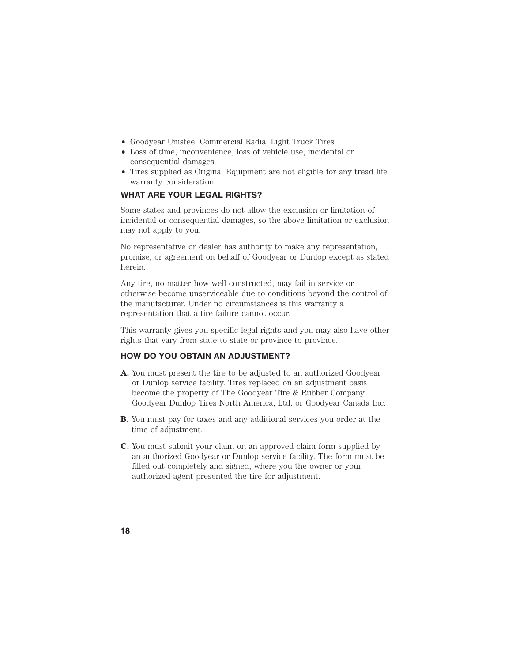- Goodyear Unisteel Commercial Radial Light Truck Tires
- Loss of time, inconvenience, loss of vehicle use, incidental or consequential damages.
- Tires supplied as Original Equipment are not eligible for any tread life warranty consideration.

# **WHAT ARE YOUR LEGAL RIGHTS?**

Some states and provinces do not allow the exclusion or limitation of incidental or consequential damages, so the above limitation or exclusion may not apply to you.

No representative or dealer has authority to make any representation, promise, or agreement on behalf of Goodyear or Dunlop except as stated herein.

Any tire, no matter how well constructed, may fail in service or otherwise become unserviceable due to conditions beyond the control of the manufacturer. Under no circumstances is this warranty a representation that a tire failure cannot occur.

This warranty gives you specific legal rights and you may also have other rights that vary from state to state or province to province.

# **HOW DO YOU OBTAIN AN ADJUSTMENT?**

- **A.** You must present the tire to be adjusted to an authorized Goodyear or Dunlop service facility. Tires replaced on an adjustment basis become the property of The Goodyear Tire & Rubber Company, Goodyear Dunlop Tires North America, Ltd. or Goodyear Canada Inc.
- **B.** You must pay for taxes and any additional services you order at the time of adjustment.
- **C.** You must submit your claim on an approved claim form supplied by an authorized Goodyear or Dunlop service facility. The form must be filled out completely and signed, where you the owner or your authorized agent presented the tire for adjustment.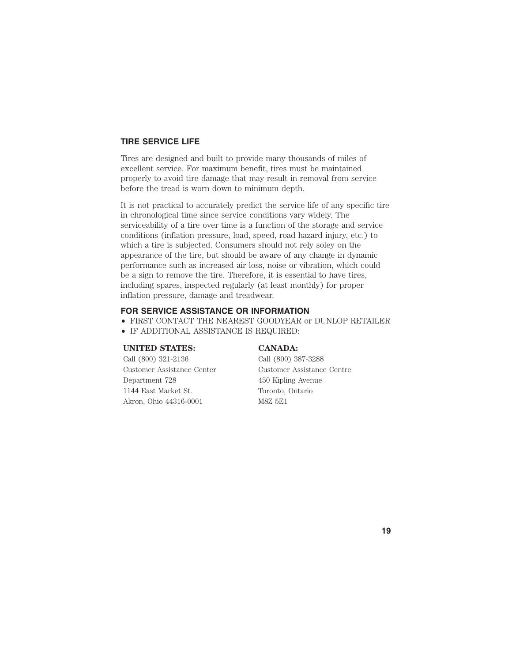# **TIRE SERVICE LIFE**

Tires are designed and built to provide many thousands of miles of excellent service. For maximum benefit, tires must be maintained properly to avoid tire damage that may result in removal from service before the tread is worn down to minimum depth.

It is not practical to accurately predict the service life of any specific tire in chronological time since service conditions vary widely. The serviceability of a tire over time is a function of the storage and service conditions (inflation pressure, load, speed, road hazard injury, etc.) to which a tire is subjected. Consumers should not rely soley on the appearance of the tire, but should be aware of any change in dynamic performance such as increased air loss, noise or vibration, which could be a sign to remove the tire. Therefore, it is essential to have tires, including spares, inspected regularly (at least monthly) for proper inflation pressure, damage and treadwear.

# **FOR SERVICE ASSISTANCE OR INFORMATION**

- FIRST CONTACT THE NEAREST GOODYEAR or DUNLOP RETAILER
- IF ADDITIONAL ASSISTANCE IS REQUIRED:

#### **UNITED STATES: CANADA:**

Call (800) 321-2136 Call (800) 387-3288 Customer Assistance Center Customer Assistance Centre Department 728 450 Kipling Avenue 1144 East Market St. Toronto, Ontario Akron, Ohio 44316-0001 M8Z 5E1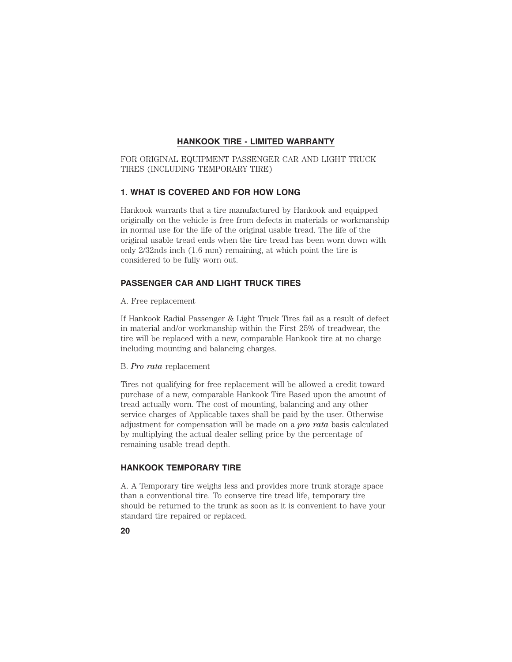# **HANKOOK TIRE - LIMITED WARRANTY**

FOR ORIGINAL EQUIPMENT PASSENGER CAR AND LIGHT TRUCK TIRES (INCLUDING TEMPORARY TIRE)

# **1. WHAT IS COVERED AND FOR HOW LONG**

Hankook warrants that a tire manufactured by Hankook and equipped originally on the vehicle is free from defects in materials or workmanship in normal use for the life of the original usable tread. The life of the original usable tread ends when the tire tread has been worn down with only 2/32nds inch (1.6 mm) remaining, at which point the tire is considered to be fully worn out.

# **PASSENGER CAR AND LIGHT TRUCK TIRES**

A. Free replacement

If Hankook Radial Passenger & Light Truck Tires fail as a result of defect in material and/or workmanship within the First 25% of treadwear, the tire will be replaced with a new, comparable Hankook tire at no charge including mounting and balancing charges.

#### B. *Pro rata* replacement

Tires not qualifying for free replacement will be allowed a credit toward purchase of a new, comparable Hankook Tire Based upon the amount of tread actually worn. The cost of mounting, balancing and any other service charges of Applicable taxes shall be paid by the user. Otherwise adjustment for compensation will be made on a *pro rata* basis calculated by multiplying the actual dealer selling price by the percentage of remaining usable tread depth.

# **HANKOOK TEMPORARY TIRE**

A. A Temporary tire weighs less and provides more trunk storage space than a conventional tire. To conserve tire tread life, temporary tire should be returned to the trunk as soon as it is convenient to have your standard tire repaired or replaced.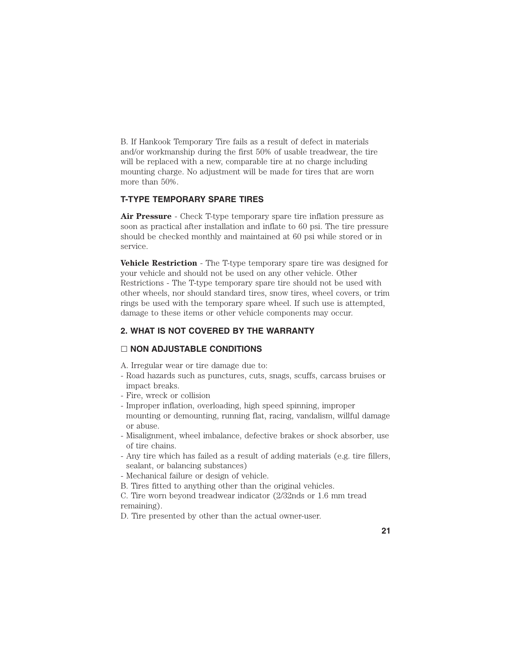B. If Hankook Temporary Tire fails as a result of defect in materials and/or workmanship during the first 50% of usable treadwear, the tire will be replaced with a new, comparable tire at no charge including mounting charge. No adjustment will be made for tires that are worn more than 50%.

# **T-TYPE TEMPORARY SPARE TIRES**

**Air Pressure** - Check T-type temporary spare tire inflation pressure as soon as practical after installation and inflate to 60 psi. The tire pressure should be checked monthly and maintained at 60 psi while stored or in service.

**Vehicle Restriction** - The T-type temporary spare tire was designed for your vehicle and should not be used on any other vehicle. Other Restrictions - The T-type temporary spare tire should not be used with other wheels, nor should standard tires, snow tires, wheel covers, or trim rings be used with the temporary spare wheel. If such use is attempted, damage to these items or other vehicle components may occur.

# **2. WHAT IS NOT COVERED BY THE WARRANTY**

### **NON ADJUSTABLE CONDITIONS**

A. Irregular wear or tire damage due to:

- Road hazards such as punctures, cuts, snags, scuffs, carcass bruises or impact breaks.
- Fire, wreck or collision
- Improper inflation, overloading, high speed spinning, improper mounting or demounting, running flat, racing, vandalism, willful damage or abuse.
- Misalignment, wheel imbalance, defective brakes or shock absorber, use of tire chains.
- Any tire which has failed as a result of adding materials (e.g. tire fillers, sealant, or balancing substances)
- Mechanical failure or design of vehicle.

B. Tires fitted to anything other than the original vehicles.

C. Tire worn beyond treadwear indicator (2/32nds or 1.6 mm tread remaining).

D. Tire presented by other than the actual owner-user.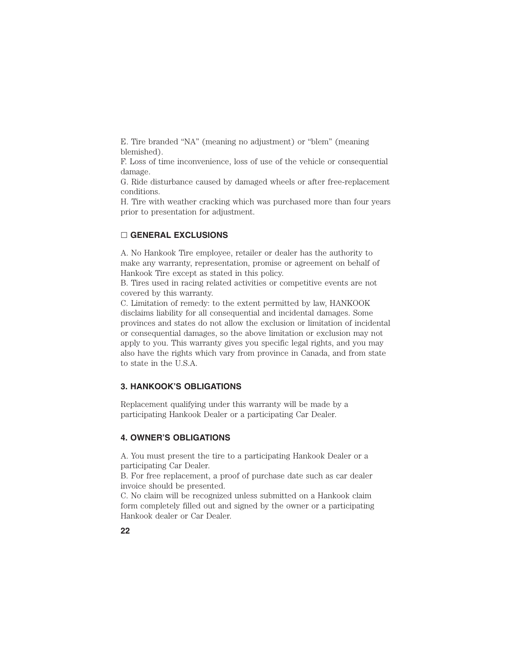E. Tire branded "NA" (meaning no adjustment) or "blem" (meaning blemished).

F. Loss of time inconvenience, loss of use of the vehicle or consequential damage.

G. Ride disturbance caused by damaged wheels or after free-replacement conditions.

H. Tire with weather cracking which was purchased more than four years prior to presentation for adjustment.

# **GENERAL EXCLUSIONS**

A. No Hankook Tire employee, retailer or dealer has the authority to make any warranty, representation, promise or agreement on behalf of Hankook Tire except as stated in this policy.

B. Tires used in racing related activities or competitive events are not covered by this warranty.

C. Limitation of remedy: to the extent permitted by law, HANKOOK disclaims liability for all consequential and incidental damages. Some provinces and states do not allow the exclusion or limitation of incidental or consequential damages, so the above limitation or exclusion may not apply to you. This warranty gives you specific legal rights, and you may also have the rights which vary from province in Canada, and from state to state in the U.S.A.

# **3. HANKOOK'S OBLIGATIONS**

Replacement qualifying under this warranty will be made by a participating Hankook Dealer or a participating Car Dealer.

# **4. OWNER'S OBLIGATIONS**

A. You must present the tire to a participating Hankook Dealer or a participating Car Dealer.

B. For free replacement, a proof of purchase date such as car dealer invoice should be presented.

C. No claim will be recognized unless submitted on a Hankook claim form completely filled out and signed by the owner or a participating Hankook dealer or Car Dealer.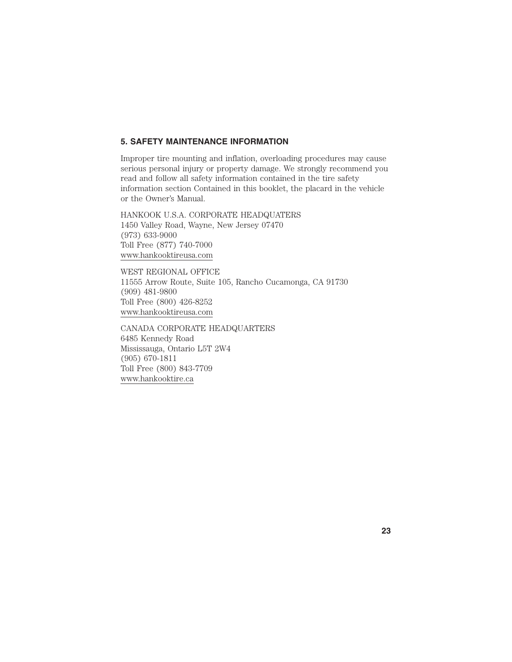# **5. SAFETY MAINTENANCE INFORMATION**

Improper tire mounting and inflation, overloading procedures may cause serious personal injury or property damage. We strongly recommend you read and follow all safety information contained in the tire safety information section Contained in this booklet, the placard in the vehicle or the Owner's Manual.

HANKOOK U.S.A. CORPORATE HEADQUATERS 1450 Valley Road, Wayne, New Jersey 07470 (973) 633-9000 Toll Free (877) 740-7000 www.hankooktireusa.com

WEST REGIONAL OFFICE 11555 Arrow Route, Suite 105, Rancho Cucamonga, CA 91730 (909) 481-9800 Toll Free (800) 426-8252 www.hankooktireusa.com

CANADA CORPORATE HEADQUARTERS 6485 Kennedy Road Mississauga, Ontario L5T 2W4 (905) 670-1811 Toll Free (800) 843-7709 www.hankooktire.ca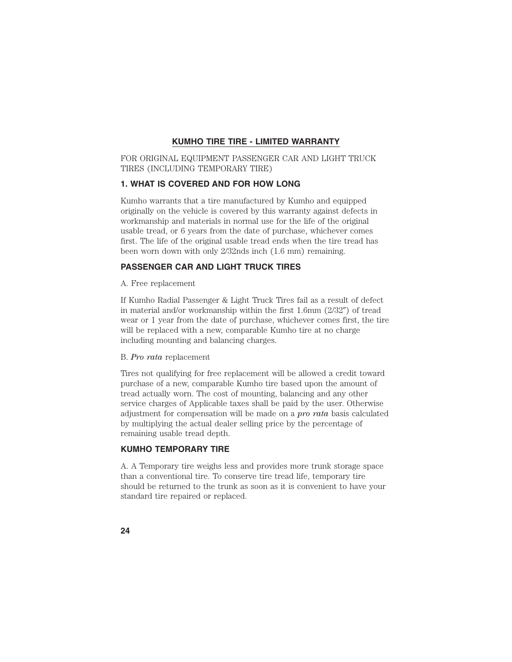# **KUMHO TIRE TIRE - LIMITED WARRANTY**

FOR ORIGINAL EQUIPMENT PASSENGER CAR AND LIGHT TRUCK TIRES (INCLUDING TEMPORARY TIRE)

# **1. WHAT IS COVERED AND FOR HOW LONG**

Kumho warrants that a tire manufactured by Kumho and equipped originally on the vehicle is covered by this warranty against defects in workmanship and materials in normal use for the life of the original usable tread, or 6 years from the date of purchase, whichever comes first. The life of the original usable tread ends when the tire tread has been worn down with only 2/32nds inch (1.6 mm) remaining.

# **PASSENGER CAR AND LIGHT TRUCK TIRES**

A. Free replacement

If Kumho Radial Passenger & Light Truck Tires fail as a result of defect in material and/or workmanship within the first  $1.6$ mm  $(2/32'')$  of tread wear or 1 year from the date of purchase, whichever comes first, the tire will be replaced with a new, comparable Kumho tire at no charge including mounting and balancing charges.

#### B. *Pro rata* replacement

Tires not qualifying for free replacement will be allowed a credit toward purchase of a new, comparable Kumho tire based upon the amount of tread actually worn. The cost of mounting, balancing and any other service charges of Applicable taxes shall be paid by the user. Otherwise adjustment for compensation will be made on a *pro rata* basis calculated by multiplying the actual dealer selling price by the percentage of remaining usable tread depth.

### **KUMHO TEMPORARY TIRE**

A. A Temporary tire weighs less and provides more trunk storage space than a conventional tire. To conserve tire tread life, temporary tire should be returned to the trunk as soon as it is convenient to have your standard tire repaired or replaced.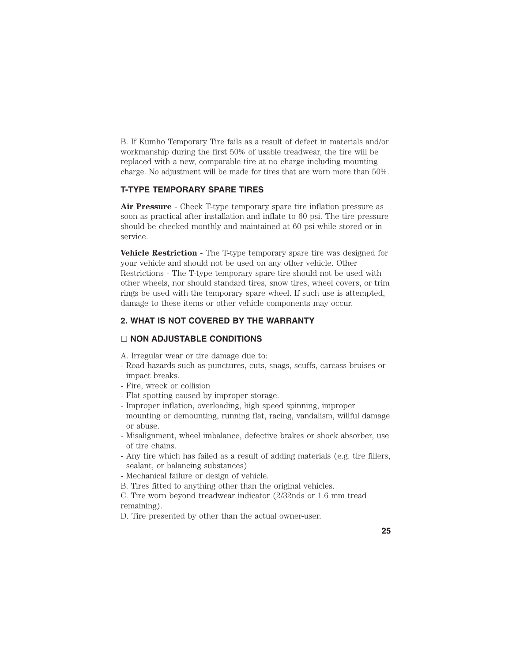B. If Kumho Temporary Tire fails as a result of defect in materials and/or workmanship during the first 50% of usable treadwear, the tire will be replaced with a new, comparable tire at no charge including mounting charge. No adjustment will be made for tires that are worn more than 50%.

# **T-TYPE TEMPORARY SPARE TIRES**

**Air Pressure** - Check T-type temporary spare tire inflation pressure as soon as practical after installation and inflate to 60 psi. The tire pressure should be checked monthly and maintained at 60 psi while stored or in service.

**Vehicle Restriction** - The T-type temporary spare tire was designed for your vehicle and should not be used on any other vehicle. Other Restrictions - The T-type temporary spare tire should not be used with other wheels, nor should standard tires, snow tires, wheel covers, or trim rings be used with the temporary spare wheel. If such use is attempted, damage to these items or other vehicle components may occur.

# **2. WHAT IS NOT COVERED BY THE WARRANTY**

### **NON ADJUSTABLE CONDITIONS**

- A. Irregular wear or tire damage due to:
- Road hazards such as punctures, cuts, snags, scuffs, carcass bruises or impact breaks.
- Fire, wreck or collision
- Flat spotting caused by improper storage.
- Improper inflation, overloading, high speed spinning, improper mounting or demounting, running flat, racing, vandalism, willful damage or abuse.
- Misalignment, wheel imbalance, defective brakes or shock absorber, use of tire chains.
- Any tire which has failed as a result of adding materials (e.g. tire fillers, sealant, or balancing substances)
- Mechanical failure or design of vehicle.
- B. Tires fitted to anything other than the original vehicles.
- C. Tire worn beyond treadwear indicator (2/32nds or 1.6 mm tread remaining).

D. Tire presented by other than the actual owner-user.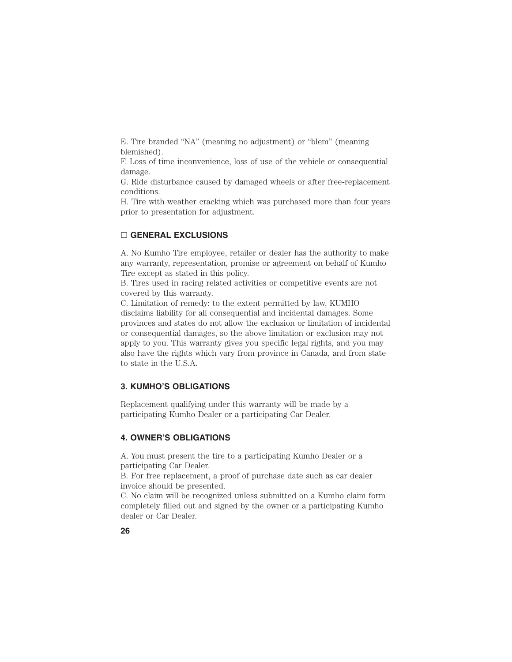E. Tire branded "NA" (meaning no adjustment) or "blem" (meaning blemished).

F. Loss of time inconvenience, loss of use of the vehicle or consequential damage.

G. Ride disturbance caused by damaged wheels or after free-replacement conditions.

H. Tire with weather cracking which was purchased more than four years prior to presentation for adjustment.

# **GENERAL EXCLUSIONS**

A. No Kumho Tire employee, retailer or dealer has the authority to make any warranty, representation, promise or agreement on behalf of Kumho Tire except as stated in this policy.

B. Tires used in racing related activities or competitive events are not covered by this warranty.

C. Limitation of remedy: to the extent permitted by law, KUMHO disclaims liability for all consequential and incidental damages. Some provinces and states do not allow the exclusion or limitation of incidental or consequential damages, so the above limitation or exclusion may not apply to you. This warranty gives you specific legal rights, and you may also have the rights which vary from province in Canada, and from state to state in the U.S.A.

# **3. KUMHO'S OBLIGATIONS**

Replacement qualifying under this warranty will be made by a participating Kumho Dealer or a participating Car Dealer.

# **4. OWNER'S OBLIGATIONS**

A. You must present the tire to a participating Kumho Dealer or a participating Car Dealer.

B. For free replacement, a proof of purchase date such as car dealer invoice should be presented.

C. No claim will be recognized unless submitted on a Kumho claim form completely filled out and signed by the owner or a participating Kumho dealer or Car Dealer.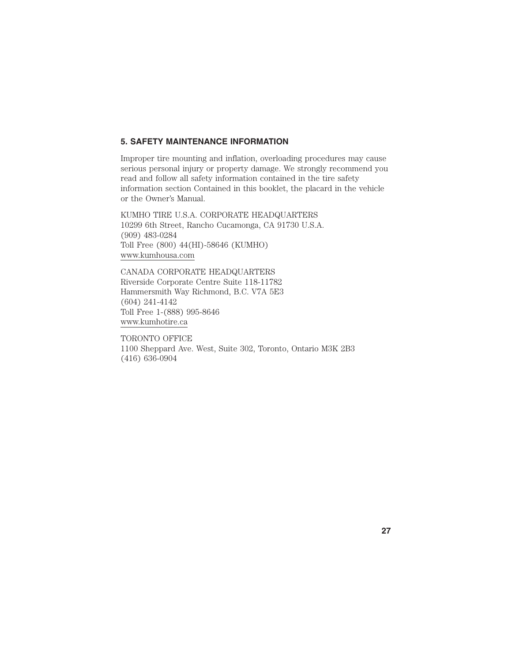# **5. SAFETY MAINTENANCE INFORMATION**

Improper tire mounting and inflation, overloading procedures may cause serious personal injury or property damage. We strongly recommend you read and follow all safety information contained in the tire safety information section Contained in this booklet, the placard in the vehicle or the Owner's Manual.

KUMHO TIRE U.S.A. CORPORATE HEADQUARTERS 10299 6th Street, Rancho Cucamonga, CA 91730 U.S.A. (909) 483-0284 Toll Free (800) 44(HI)-58646 (KUMHO) www.kumhousa.com

CANADA CORPORATE HEADQUARTERS Riverside Corporate Centre Suite 118-11782 Hammersmith Way Richmond, B.C. V7A 5E3 (604) 241-4142 Toll Free 1-(888) 995-8646 www.kumhotire.ca

TORONTO OFFICE 1100 Sheppard Ave. West, Suite 302, Toronto, Ontario M3K 2B3 (416) 636-0904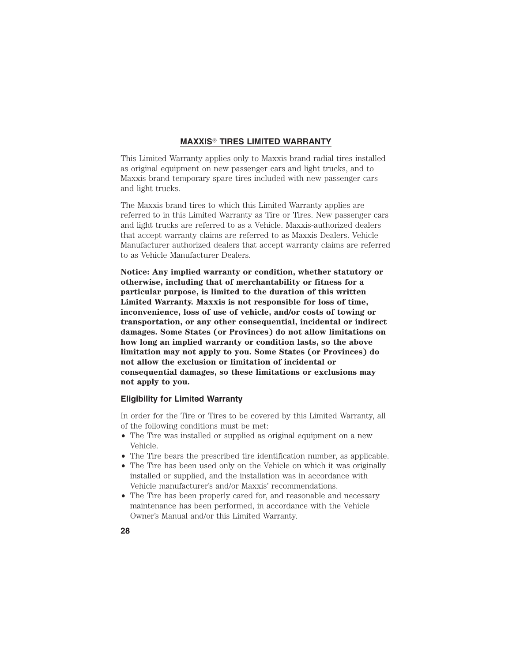# **MAXXIS**- **TIRES LIMITED WARRANTY**

This Limited Warranty applies only to Maxxis brand radial tires installed as original equipment on new passenger cars and light trucks, and to Maxxis brand temporary spare tires included with new passenger cars and light trucks.

The Maxxis brand tires to which this Limited Warranty applies are referred to in this Limited Warranty as Tire or Tires. New passenger cars and light trucks are referred to as a Vehicle. Maxxis-authorized dealers that accept warranty claims are referred to as Maxxis Dealers. Vehicle Manufacturer authorized dealers that accept warranty claims are referred to as Vehicle Manufacturer Dealers.

**Notice: Any implied warranty or condition, whether statutory or otherwise, including that of merchantability or fitness for a particular purpose, is limited to the duration of this written Limited Warranty. Maxxis is not responsible for loss of time, inconvenience, loss of use of vehicle, and/or costs of towing or transportation, or any other consequential, incidental or indirect damages. Some States (or Provinces) do not allow limitations on how long an implied warranty or condition lasts, so the above limitation may not apply to you. Some States (or Provinces) do not allow the exclusion or limitation of incidental or consequential damages, so these limitations or exclusions may not apply to you.**

# **Eligibility for Limited Warranty**

In order for the Tire or Tires to be covered by this Limited Warranty, all of the following conditions must be met:

- The Tire was installed or supplied as original equipment on a new Vehicle.
- The Tire bears the prescribed tire identification number, as applicable.
- The Tire has been used only on the Vehicle on which it was originally installed or supplied, and the installation was in accordance with Vehicle manufacturer's and/or Maxxis' recommendations.
- The Tire has been properly cared for, and reasonable and necessary maintenance has been performed, in accordance with the Vehicle Owner's Manual and/or this Limited Warranty.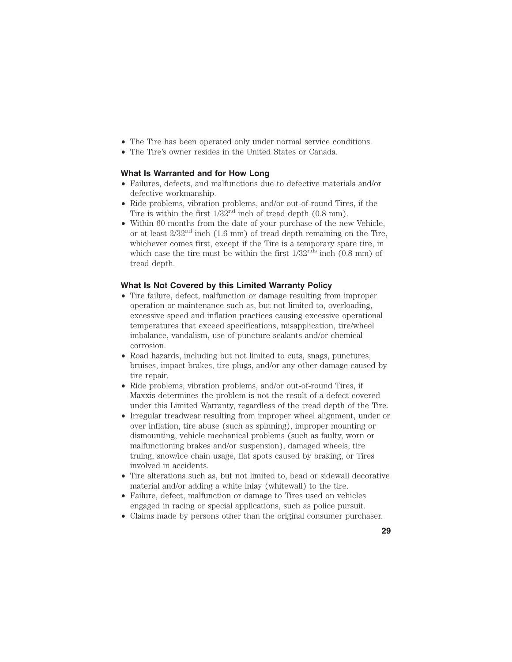- The Tire has been operated only under normal service conditions.
- The Tire's owner resides in the United States or Canada.

#### **What Is Warranted and for How Long**

- Failures, defects, and malfunctions due to defective materials and/or defective workmanship.
- Ride problems, vibration problems, and/or out-of-round Tires, if the Tire is within the first  $1/32<sup>nd</sup>$  inch of tread depth  $(0.8 \text{ mm})$ .
- Within 60 months from the date of your purchase of the new Vehicle, or at least  $2/32<sup>nd</sup>$  inch  $(1.6 \text{ mm})$  of tread depth remaining on the Tire, whichever comes first, except if the Tire is a temporary spare tire, in which case the tire must be within the first  $1/32^{nds}$  inch  $(0.8 \text{ mm})$  of tread depth.

### **What Is Not Covered by this Limited Warranty Policy**

- Tire failure, defect, malfunction or damage resulting from improper operation or maintenance such as, but not limited to, overloading, excessive speed and inflation practices causing excessive operational temperatures that exceed specifications, misapplication, tire/wheel imbalance, vandalism, use of puncture sealants and/or chemical corrosion.
- Road hazards, including but not limited to cuts, snags, punctures, bruises, impact brakes, tire plugs, and/or any other damage caused by tire repair.
- Ride problems, vibration problems, and/or out-of-round Tires, if Maxxis determines the problem is not the result of a defect covered under this Limited Warranty, regardless of the tread depth of the Tire.
- Irregular treadwear resulting from improper wheel alignment, under or over inflation, tire abuse (such as spinning), improper mounting or dismounting, vehicle mechanical problems (such as faulty, worn or malfunctioning brakes and/or suspension), damaged wheels, tire truing, snow/ice chain usage, flat spots caused by braking, or Tires involved in accidents.
- Tire alterations such as, but not limited to, bead or sidewall decorative material and/or adding a white inlay (whitewall) to the tire.
- Failure, defect, malfunction or damage to Tires used on vehicles engaged in racing or special applications, such as police pursuit.
- Claims made by persons other than the original consumer purchaser.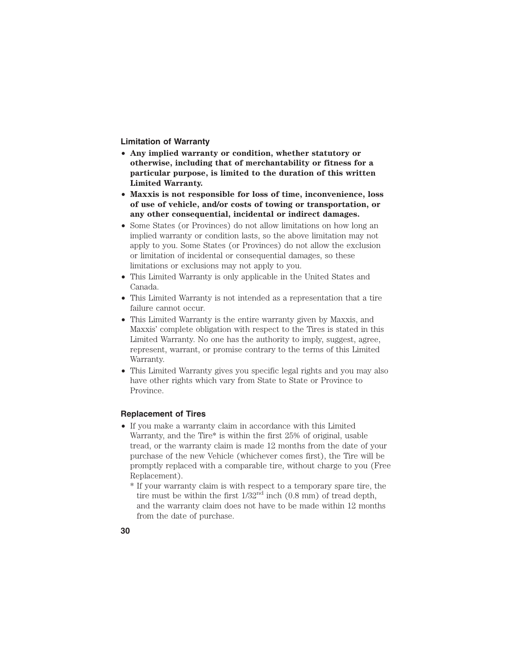**Limitation of Warranty**

- **Any implied warranty or condition, whether statutory or otherwise, including that of merchantability or fitness for a particular purpose, is limited to the duration of this written Limited Warranty.**
- **Maxxis is not responsible for loss of time, inconvenience, loss of use of vehicle, and/or costs of towing or transportation, or any other consequential, incidental or indirect damages.**
- Some States (or Provinces) do not allow limitations on how long an implied warranty or condition lasts, so the above limitation may not apply to you. Some States (or Provinces) do not allow the exclusion or limitation of incidental or consequential damages, so these limitations or exclusions may not apply to you.
- This Limited Warranty is only applicable in the United States and Canada.
- This Limited Warranty is not intended as a representation that a tire failure cannot occur.
- This Limited Warranty is the entire warranty given by Maxxis, and Maxxis' complete obligation with respect to the Tires is stated in this Limited Warranty. No one has the authority to imply, suggest, agree, represent, warrant, or promise contrary to the terms of this Limited Warranty.
- This Limited Warranty gives you specific legal rights and you may also have other rights which vary from State to State or Province to Province.

# **Replacement of Tires**

• If you make a warranty claim in accordance with this Limited Warranty, and the Tire\* is within the first 25% of original, usable tread, or the warranty claim is made 12 months from the date of your purchase of the new Vehicle (whichever comes first), the Tire will be promptly replaced with a comparable tire, without charge to you (Free Replacement).

\* If your warranty claim is with respect to a temporary spare tire, the tire must be within the first  $1/32<sup>nd</sup>$  inch  $(0.8$  mm) of tread depth, and the warranty claim does not have to be made within 12 months from the date of purchase.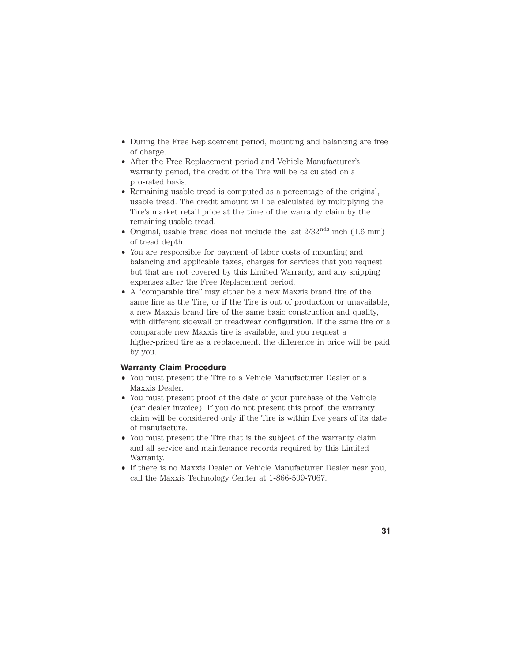- During the Free Replacement period, mounting and balancing are free of charge.
- After the Free Replacement period and Vehicle Manufacturer's warranty period, the credit of the Tire will be calculated on a pro-rated basis.
- Remaining usable tread is computed as a percentage of the original, usable tread. The credit amount will be calculated by multiplying the Tire's market retail price at the time of the warranty claim by the remaining usable tread.
- Original, usable tread does not include the last  $2/32^{nds}$  inch  $(1.6 \text{ mm})$ of tread depth.
- You are responsible for payment of labor costs of mounting and balancing and applicable taxes, charges for services that you request but that are not covered by this Limited Warranty, and any shipping expenses after the Free Replacement period.
- A "comparable tire" may either be a new Maxxis brand tire of the same line as the Tire, or if the Tire is out of production or unavailable, a new Maxxis brand tire of the same basic construction and quality, with different sidewall or treadwear configuration. If the same tire or a comparable new Maxxis tire is available, and you request a higher-priced tire as a replacement, the difference in price will be paid by you.

# **Warranty Claim Procedure**

- You must present the Tire to a Vehicle Manufacturer Dealer or a Maxxis Dealer.
- You must present proof of the date of your purchase of the Vehicle (car dealer invoice). If you do not present this proof, the warranty claim will be considered only if the Tire is within five years of its date of manufacture.
- You must present the Tire that is the subject of the warranty claim and all service and maintenance records required by this Limited Warranty.
- If there is no Maxxis Dealer or Vehicle Manufacturer Dealer near you, call the Maxxis Technology Center at 1-866-509-7067.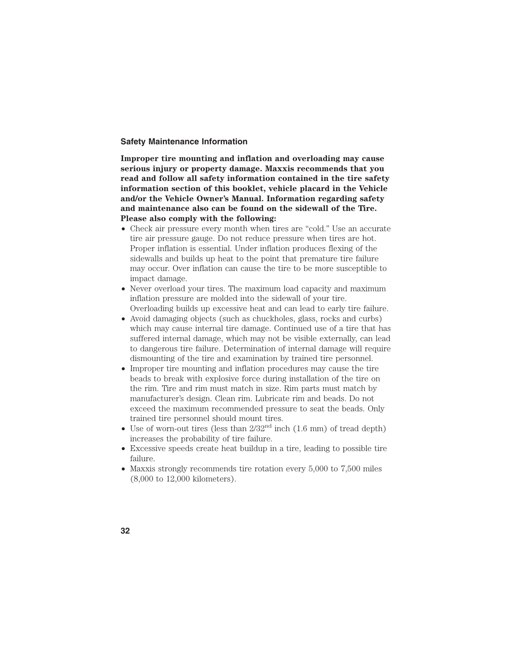# **Safety Maintenance Information**

**Improper tire mounting and inflation and overloading may cause serious injury or property damage. Maxxis recommends that you read and follow all safety information contained in the tire safety information section of this booklet, vehicle placard in the Vehicle and/or the Vehicle Owner's Manual. Information regarding safety and maintenance also can be found on the sidewall of the Tire. Please also comply with the following:**

- Check air pressure every month when tires are "cold." Use an accurate tire air pressure gauge. Do not reduce pressure when tires are hot. Proper inflation is essential. Under inflation produces flexing of the sidewalls and builds up heat to the point that premature tire failure may occur. Over inflation can cause the tire to be more susceptible to impact damage.
- Never overload your tires. The maximum load capacity and maximum inflation pressure are molded into the sidewall of your tire. Overloading builds up excessive heat and can lead to early tire failure.
- Avoid damaging objects (such as chuckholes, glass, rocks and curbs) which may cause internal tire damage. Continued use of a tire that has suffered internal damage, which may not be visible externally, can lead to dangerous tire failure. Determination of internal damage will require dismounting of the tire and examination by trained tire personnel.
- Improper tire mounting and inflation procedures may cause the tire beads to break with explosive force during installation of the tire on the rim. Tire and rim must match in size. Rim parts must match by manufacturer's design. Clean rim. Lubricate rim and beads. Do not exceed the maximum recommended pressure to seat the beads. Only trained tire personnel should mount tires.
- Use of worn-out tires (less than  $2/32<sup>nd</sup>$  inch (1.6 mm) of tread depth) increases the probability of tire failure.
- Excessive speeds create heat buildup in a tire, leading to possible tire failure.
- Maxxis strongly recommends tire rotation every 5,000 to 7,500 miles (8,000 to 12,000 kilometers).
- **32**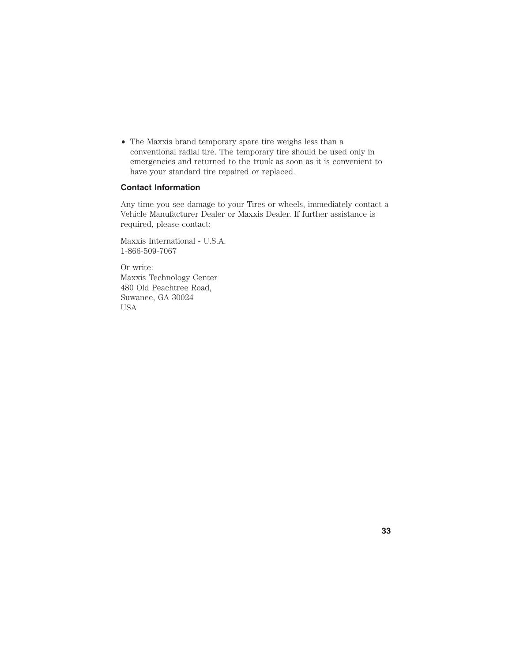• The Maxxis brand temporary spare tire weighs less than a conventional radial tire. The temporary tire should be used only in emergencies and returned to the trunk as soon as it is convenient to have your standard tire repaired or replaced.

# **Contact Information**

Any time you see damage to your Tires or wheels, immediately contact a Vehicle Manufacturer Dealer or Maxxis Dealer. If further assistance is required, please contact:

Maxxis International - U.S.A. 1-866-509-7067

Or write: Maxxis Technology Center 480 Old Peachtree Road, Suwanee, GA 30024 USA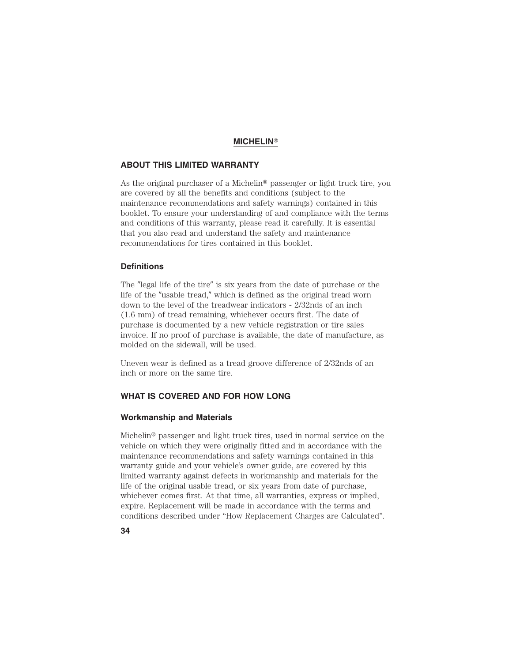#### **MICHELIN**-

# **ABOUT THIS LIMITED WARRANTY**

As the original purchaser of a Michelin<sup>®</sup> passenger or light truck tire, you are covered by all the benefits and conditions (subject to the maintenance recommendations and safety warnings) contained in this booklet. To ensure your understanding of and compliance with the terms and conditions of this warranty, please read it carefully. It is essential that you also read and understand the safety and maintenance recommendations for tires contained in this booklet.

### **Definitions**

The "legal life of the tire" is six years from the date of purchase or the life of the "usable tread," which is defined as the original tread worn down to the level of the treadwear indicators - 2/32nds of an inch (1.6 mm) of tread remaining, whichever occurs first. The date of purchase is documented by a new vehicle registration or tire sales invoice. If no proof of purchase is available, the date of manufacture, as molded on the sidewall, will be used.

Uneven wear is defined as a tread groove difference of 2/32nds of an inch or more on the same tire.

# **WHAT IS COVERED AND FOR HOW LONG**

#### **Workmanship and Materials**

Michelin® passenger and light truck tires, used in normal service on the vehicle on which they were originally fitted and in accordance with the maintenance recommendations and safety warnings contained in this warranty guide and your vehicle's owner guide, are covered by this limited warranty against defects in workmanship and materials for the life of the original usable tread, or six years from date of purchase, whichever comes first. At that time, all warranties, express or implied, expire. Replacement will be made in accordance with the terms and conditions described under "How Replacement Charges are Calculated".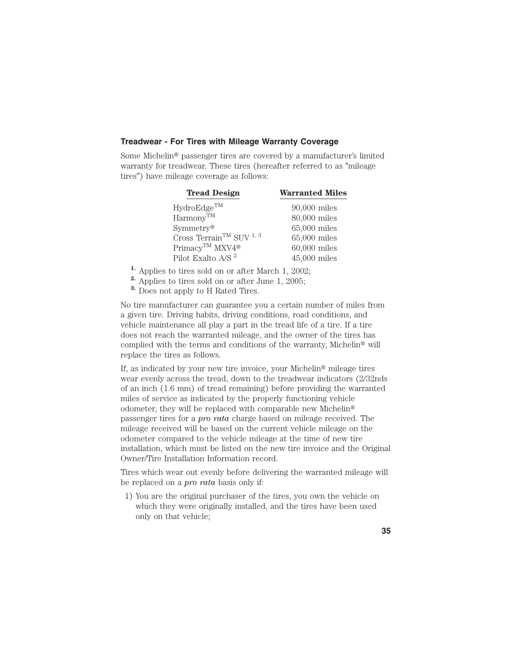### **Treadwear - For Tires with Mileage Warranty Coverage**

Some Michelin<sup>®</sup> passenger tires are covered by a manufacturer's limited warranty for treadwear. These tires (hereafter referred to as "mileage tires") have mileage coverage as follows:

| <b>Tread Design</b>                      | <b>Warranted Miles</b> |
|------------------------------------------|------------------------|
| HydroEdge <sup>TM</sup>                  | $90,000$ miles         |
| $Harmony^{TM}$                           | 80,000 miles           |
| $Symmetry^{\circledR}$                   | 65,000 miles           |
| Cross Terrain $^{\rm TM}$ SUV $^{1,\,3}$ | 65,000 miles           |
| Primacy™ MXV4 <sup>®</sup>               | $60,000$ miles         |
| Pilot Exalto A/S <sup>2</sup>            | $45,000$ miles         |

- **1.** Applies to tires sold on or after March 1, 2002;
- **2.** Applies to tires sold on or after June 1, 2005;
- **3.** Does not apply to H Rated Tires.

No tire manufacturer can guarantee you a certain number of miles from a given tire. Driving habits, driving conditions, road conditions, and vehicle maintenance all play a part in the tread life of a tire. If a tire does not reach the warranted mileage, and the owner of the tires has complied with the terms and conditions of the warranty, Michelin® will replace the tires as follows.

If, as indicated by your new tire invoice, your Michelin<sup>®</sup> mileage tires wear evenly across the tread, down to the treadwear indicators (2/32nds of an inch (1.6 mm) of tread remaining) before providing the warranted miles of service as indicated by the properly functioning vehicle odometer, they will be replaced with comparable new Michelin passenger tires for a *pro rata* charge based on mileage received. The mileage received will be based on the current vehicle mileage on the odometer compared to the vehicle mileage at the time of new tire installation, which must be listed on the new tire invoice and the Original Owner/Tire Installation Information record.

Tires which wear out evenly before delivering the warranted mileage will be replaced on a *pro rata* basis only if:

1) You are the original purchaser of the tires, you own the vehicle on which they were originally installed, and the tires have been used only on that vehicle;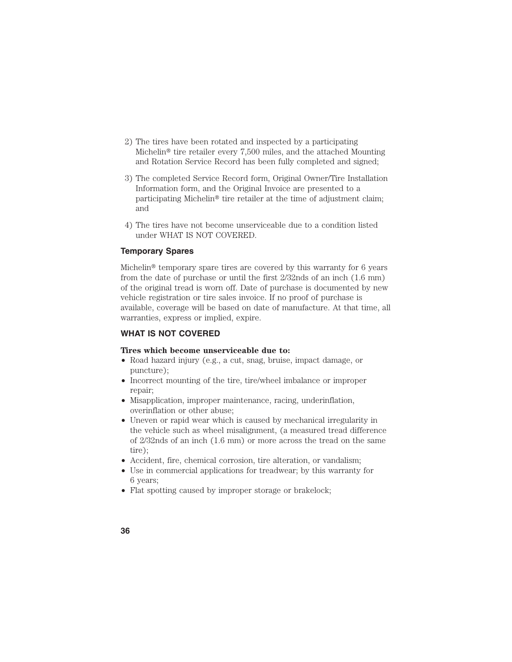- 2) The tires have been rotated and inspected by a participating Michelin<sup>®</sup> tire retailer every 7,500 miles, and the attached Mounting and Rotation Service Record has been fully completed and signed;
- 3) The completed Service Record form, Original Owner/Tire Installation Information form, and the Original Invoice are presented to a participating Michelin<sup>®</sup> tire retailer at the time of adjustment claim; and
- 4) The tires have not become unserviceable due to a condition listed under WHAT IS NOT COVERED.

### **Temporary Spares**

Michelin<sup>®</sup> temporary spare tires are covered by this warranty for 6 years from the date of purchase or until the first 2/32nds of an inch (1.6 mm) of the original tread is worn off. Date of purchase is documented by new vehicle registration or tire sales invoice. If no proof of purchase is available, coverage will be based on date of manufacture. At that time, all warranties, express or implied, expire.

# **WHAT IS NOT COVERED**

#### **Tires which become unserviceable due to:**

- Road hazard injury (e.g., a cut, snag, bruise, impact damage, or puncture);
- Incorrect mounting of the tire, tire/wheel imbalance or improper repair;
- Misapplication, improper maintenance, racing, underinflation, overinflation or other abuse;
- Uneven or rapid wear which is caused by mechanical irregularity in the vehicle such as wheel misalignment, (a measured tread difference of 2/32nds of an inch (1.6 mm) or more across the tread on the same tire);
- Accident, fire, chemical corrosion, tire alteration, or vandalism;
- Use in commercial applications for treadwear; by this warranty for 6 years;
- Flat spotting caused by improper storage or brakelock;
- **36**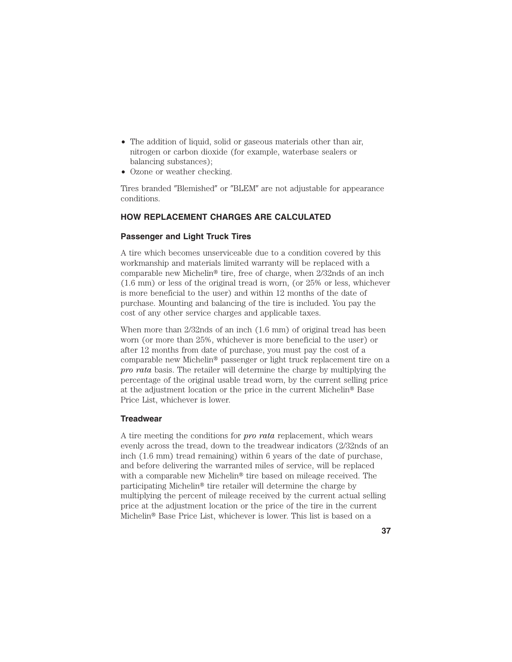- The addition of liquid, solid or gaseous materials other than air, nitrogen or carbon dioxide (for example, waterbase sealers or balancing substances);
- Ozone or weather checking.

Tires branded "Blemished" or "BLEM" are not adjustable for appearance conditions.

# **HOW REPLACEMENT CHARGES ARE CALCULATED**

# **Passenger and Light Truck Tires**

A tire which becomes unserviceable due to a condition covered by this workmanship and materials limited warranty will be replaced with a comparable new Michelin<sup>®</sup> tire, free of charge, when  $2/32$ nds of an inch (1.6 mm) or less of the original tread is worn, (or 25% or less, whichever is more beneficial to the user) and within 12 months of the date of purchase. Mounting and balancing of the tire is included. You pay the cost of any other service charges and applicable taxes.

When more than 2/32nds of an inch (1.6 mm) of original tread has been worn (or more than 25%, whichever is more beneficial to the user) or after 12 months from date of purchase, you must pay the cost of a comparable new Michelin<sup>®</sup> passenger or light truck replacement tire on a *pro rata* basis. The retailer will determine the charge by multiplying the percentage of the original usable tread worn, by the current selling price at the adjustment location or the price in the current Michelin<sup>®</sup> Base Price List, whichever is lower.

### **Treadwear**

A tire meeting the conditions for *pro rata* replacement, which wears evenly across the tread, down to the treadwear indicators (2/32nds of an inch (1.6 mm) tread remaining) within 6 years of the date of purchase, and before delivering the warranted miles of service, will be replaced with a comparable new Michelin<sup>®</sup> tire based on mileage received. The participating Michelin<sup>®</sup> tire retailer will determine the charge by multiplying the percent of mileage received by the current actual selling price at the adjustment location or the price of the tire in the current Michelin<sup>®</sup> Base Price List, whichever is lower. This list is based on a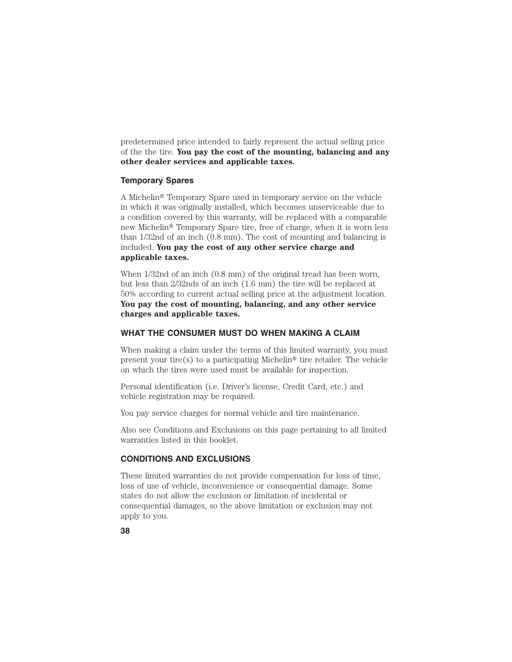predetermined price intended to fairly represent the actual selling price of the the tire. **You pay the cost of the mounting, balancing and any other dealer services and applicable taxes.**

#### **Temporary Spares**

A Michelin<sup>®</sup> Temporary Spare used in temporary service on the vehicle in which it was originally installed, which becomes unserviceable due to a condition covered by this warranty, will be replaced with a comparable new Michelin<sup>®</sup> Temporary Spare tire, free of charge, when it is worn less than 1/32nd of an inch (0.8 mm). The cost of mounting and balancing is included. **You pay the cost of any other service charge and applicable taxes.**

When 1/32nd of an inch (0.8 mm) of the original tread has been worn, but less than 2/32nds of an inch (1.6 mm) the tire will be replaced at 50% according to current actual selling price at the adjustment location. **You pay the cost of mounting, balancing, and any other service charges and applicable taxes.**

### **WHAT THE CONSUMER MUST DO WHEN MAKING A CLAIM**

When making a claim under the terms of this limited warranty, you must present your tire(s) to a participating Michelin<sup>®</sup> tire retailer. The vehicle on which the tires were used must be available for inspection.

Personal identification (i.e. Driver's license, Credit Card, etc.) and vehicle registration may be required.

You pay service charges for normal vehicle and tire maintenance.

Also see Conditions and Exclusions on this page pertaining to all limited warranties listed in this booklet.

# **CONDITIONS AND EXCLUSIONS**

These limited warranties do not provide compensation for loss of time, loss of use of vehicle, inconvenience or consequential damage. Some states do not allow the exclusion or limitation of incidental or consequential damages, so the above limitation or exclusion may not apply to you.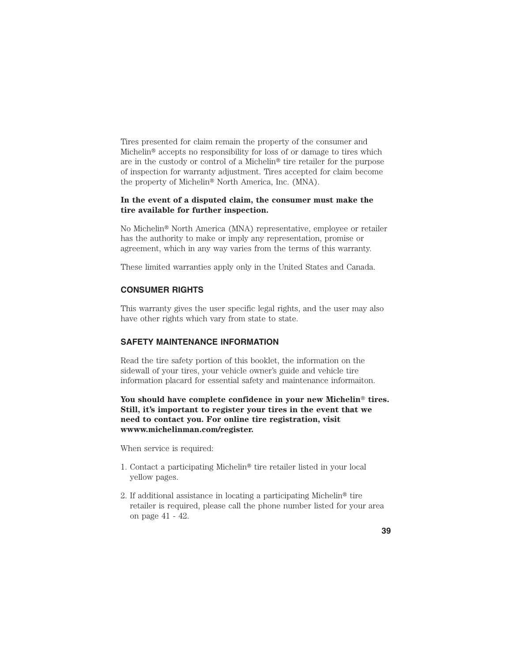Tires presented for claim remain the property of the consumer and Michelin<sup>®</sup> accepts no responsibility for loss of or damage to tires which are in the custody or control of a Michelin<sup>®</sup> tire retailer for the purpose of inspection for warranty adjustment. Tires accepted for claim become the property of Michelin<sup>®</sup> North America, Inc. (MNA).

# **In the event of a disputed claim, the consumer must make the tire available for further inspection.**

No Michelin<sup>®</sup> North America (MNA) representative, employee or retailer has the authority to make or imply any representation, promise or agreement, which in any way varies from the terms of this warranty.

These limited warranties apply only in the United States and Canada.

# **CONSUMER RIGHTS**

This warranty gives the user specific legal rights, and the user may also have other rights which vary from state to state.

# **SAFETY MAINTENANCE INFORMATION**

Read the tire safety portion of this booklet, the information on the sidewall of your tires, your vehicle owner's guide and vehicle tire information placard for essential safety and maintenance informaiton.

You should have complete confidence in your new Michelin<sup>®</sup> tires. **Still, it's important to register your tires in the event that we need to contact you. For online tire registration, visit wwww.michelinman.com/register.**

When service is required:

- 1. Contact a participating Michelin® tire retailer listed in your local yellow pages.
- 2. If additional assistance in locating a participating Michelin<sup>®</sup> tire retailer is required, please call the phone number listed for your area on page 41 - 42.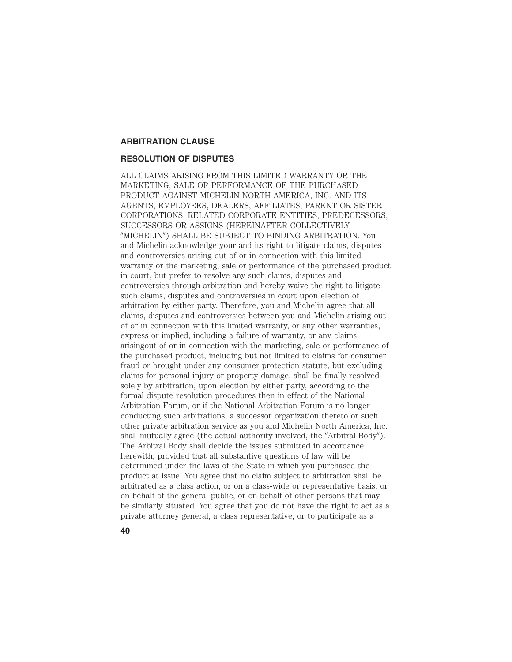# **ARBITRATION CLAUSE**

#### **RESOLUTION OF DISPUTES**

ALL CLAIMS ARISING FROM THIS LIMITED WARRANTY OR THE MARKETING, SALE OR PERFORMANCE OF THE PURCHASED PRODUCT AGAINST MICHELIN NORTH AMERICA, INC. AND ITS AGENTS, EMPLOYEES, DEALERS, AFFILIATES, PARENT OR SISTER CORPORATIONS, RELATED CORPORATE ENTITIES, PREDECESSORS, SUCCESSORS OR ASSIGNS (HEREINAFTER COLLECTIVELY "MICHELIN") SHALL BE SUBJECT TO BINDING ARBITRATION. You and Michelin acknowledge your and its right to litigate claims, disputes and controversies arising out of or in connection with this limited warranty or the marketing, sale or performance of the purchased product in court, but prefer to resolve any such claims, disputes and controversies through arbitration and hereby waive the right to litigate such claims, disputes and controversies in court upon election of arbitration by either party. Therefore, you and Michelin agree that all claims, disputes and controversies between you and Michelin arising out of or in connection with this limited warranty, or any other warranties, express or implied, including a failure of warranty, or any claims arisingout of or in connection with the marketing, sale or performance of the purchased product, including but not limited to claims for consumer fraud or brought under any consumer protection statute, but excluding claims for personal injury or property damage, shall be finally resolved solely by arbitration, upon election by either party, according to the formal dispute resolution procedures then in effect of the National Arbitration Forum, or if the National Arbitration Forum is no longer conducting such arbitrations, a successor organization thereto or such other private arbitration service as you and Michelin North America, Inc. shall mutually agree (the actual authority involved, the "Arbitral Body"). The Arbitral Body shall decide the issues submitted in accordance herewith, provided that all substantive questions of law will be determined under the laws of the State in which you purchased the product at issue. You agree that no claim subject to arbitration shall be arbitrated as a class action, or on a class-wide or representative basis, or on behalf of the general public, or on behalf of other persons that may be similarly situated. You agree that you do not have the right to act as a private attorney general, a class representative, or to participate as a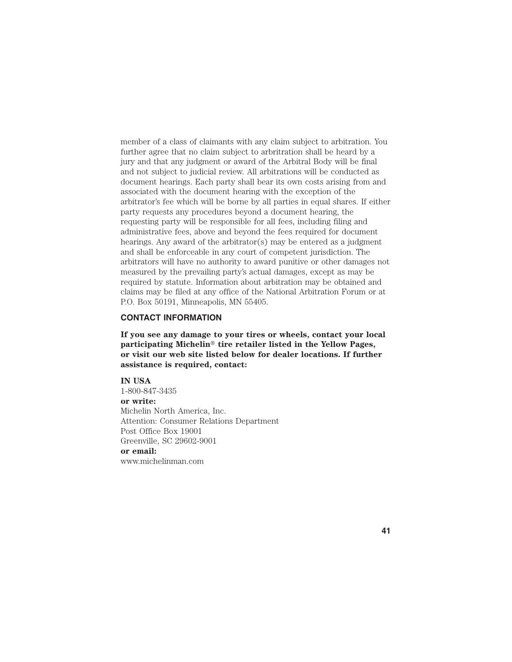member of a class of claimants with any claim subject to arbitration. You further agree that no claim subject to arbritration shall be heard by a jury and that any judgment or award of the Arbitral Body will be final and not subject to judicial review. All arbitrations will be conducted as document hearings. Each party shall bear its own costs arising from and associated with the document hearing with the exception of the arbitrator's fee which will be borne by all parties in equal shares. If either party requests any procedures beyond a document hearing, the requesting party will be responsible for all fees, including filing and administrative fees, above and beyond the fees required for document hearings. Any award of the arbitrator(s) may be entered as a judgment and shall be enforceable in any court of competent jurisdiction. The arbitrators will have no authority to award punitive or other damages not measured by the prevailing party's actual damages, except as may be required by statute. Information about arbitration may be obtained and claims may be filed at any office of the National Arbitration Forum or at P.O. Box 50191, Minneapolis, MN 55405.

### **CONTACT INFORMATION**

**If you see any damage to your tires or wheels, contact your local** participating Michelin<sup>®</sup> tire retailer listed in the Yellow Pages, **or visit our web site listed below for dealer locations. If further assistance is required, contact:**

**IN USA** 1-800-847-3435 **or write:** Michelin North America, Inc. Attention: Consumer Relations Department Post Office Box 19001 Greenville, SC 29602-9001 **or email:** www.michelinman.com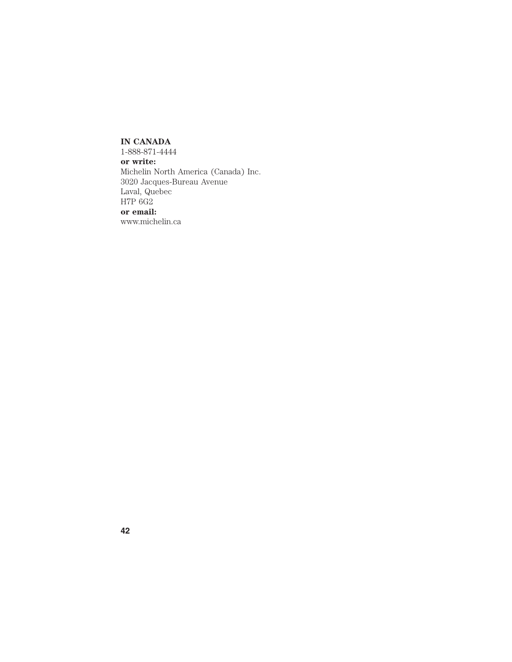# **IN CANADA**

1-888-871-4444 **or write:** Michelin North America (Canada) Inc. 3020 Jacques-Bureau Avenue Laval, Quebec H7P 6G2 **or email:**

www.michelin.ca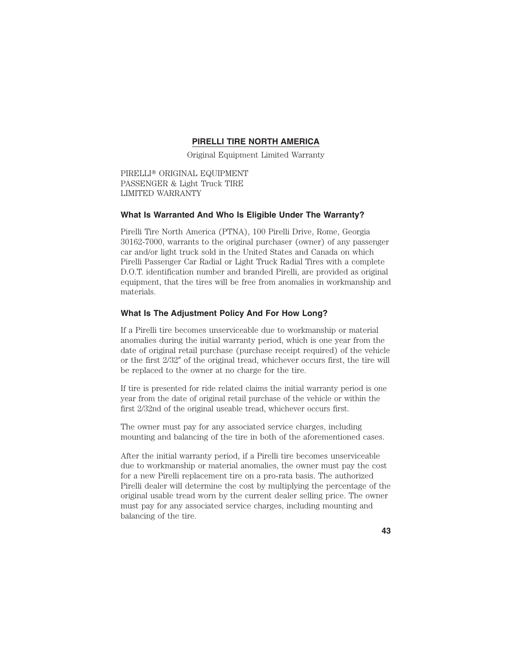# **PIRELLI TIRE NORTH AMERICA**

Original Equipment Limited Warranty

PIRELLI<sup>®</sup> ORIGINAL EQUIPMENT PASSENGER & Light Truck TIRE LIMITED WARRANTY

### **What Is Warranted And Who Is Eligible Under The Warranty?**

Pirelli Tire North America (PTNA), 100 Pirelli Drive, Rome, Georgia 30162-7000, warrants to the original purchaser (owner) of any passenger car and/or light truck sold in the United States and Canada on which Pirelli Passenger Car Radial or Light Truck Radial Tires with a complete D.O.T. identification number and branded Pirelli, are provided as original equipment, that the tires will be free from anomalies in workmanship and materials.

### **What Is The Adjustment Policy And For How Long?**

If a Pirelli tire becomes unserviceable due to workmanship or material anomalies during the initial warranty period, which is one year from the date of original retail purchase (purchase receipt required) of the vehicle or the first  $2/32''$  of the original tread, whichever occurs first, the tire will be replaced to the owner at no charge for the tire.

If tire is presented for ride related claims the initial warranty period is one year from the date of original retail purchase of the vehicle or within the first 2/32nd of the original useable tread, whichever occurs first.

The owner must pay for any associated service charges, including mounting and balancing of the tire in both of the aforementioned cases.

After the initial warranty period, if a Pirelli tire becomes unserviceable due to workmanship or material anomalies, the owner must pay the cost for a new Pirelli replacement tire on a pro-rata basis. The authorized Pirelli dealer will determine the cost by multiplying the percentage of the original usable tread worn by the current dealer selling price. The owner must pay for any associated service charges, including mounting and balancing of the tire.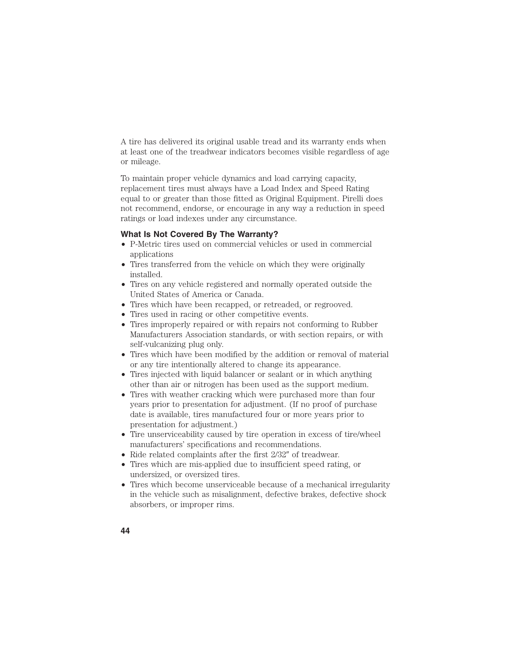A tire has delivered its original usable tread and its warranty ends when at least one of the treadwear indicators becomes visible regardless of age or mileage.

To maintain proper vehicle dynamics and load carrying capacity, replacement tires must always have a Load Index and Speed Rating equal to or greater than those fitted as Original Equipment. Pirelli does not recommend, endorse, or encourage in any way a reduction in speed ratings or load indexes under any circumstance.

### **What Is Not Covered By The Warranty?**

- P-Metric tires used on commercial vehicles or used in commercial applications
- Tires transferred from the vehicle on which they were originally installed.
- Tires on any vehicle registered and normally operated outside the United States of America or Canada.
- Tires which have been recapped, or retreaded, or regrooved.
- Tires used in racing or other competitive events.
- Tires improperly repaired or with repairs not conforming to Rubber Manufacturers Association standards, or with section repairs, or with self-vulcanizing plug only.
- Tires which have been modified by the addition or removal of material or any tire intentionally altered to change its appearance.
- Tires injected with liquid balancer or sealant or in which anything other than air or nitrogen has been used as the support medium.
- Tires with weather cracking which were purchased more than four years prior to presentation for adjustment. (If no proof of purchase date is available, tires manufactured four or more years prior to presentation for adjustment.)
- Tire unserviceability caused by tire operation in excess of tire/wheel manufacturers' specifications and recommendations.
- Ride related complaints after the first  $2/32''$  of treadwear.
- Tires which are mis-applied due to insufficient speed rating, or undersized, or oversized tires.
- Tires which become unserviceable because of a mechanical irregularity in the vehicle such as misalignment, defective brakes, defective shock absorbers, or improper rims.
- **44**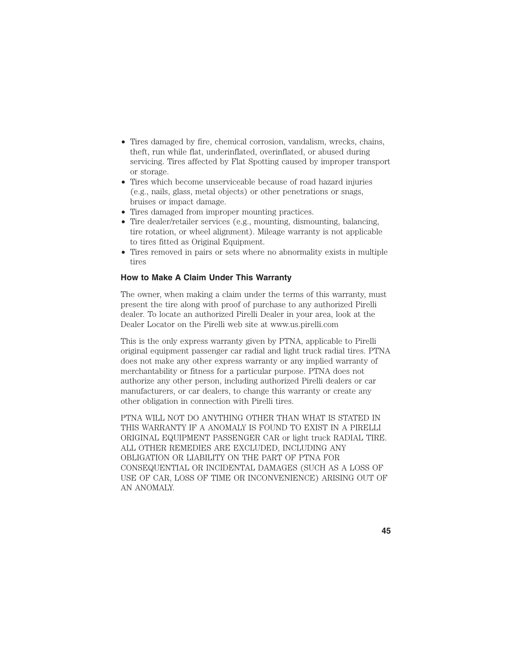- Tires damaged by fire, chemical corrosion, vandalism, wrecks, chains, theft, run while flat, underinflated, overinflated, or abused during servicing. Tires affected by Flat Spotting caused by improper transport or storage.
- Tires which become unserviceable because of road hazard injuries (e.g., nails, glass, metal objects) or other penetrations or snags, bruises or impact damage.
- Tires damaged from improper mounting practices.
- Tire dealer/retailer services (e.g., mounting, dismounting, balancing, tire rotation, or wheel alignment). Mileage warranty is not applicable to tires fitted as Original Equipment.
- Tires removed in pairs or sets where no abnormality exists in multiple tires

# **How to Make A Claim Under This Warranty**

The owner, when making a claim under the terms of this warranty, must present the tire along with proof of purchase to any authorized Pirelli dealer. To locate an authorized Pirelli Dealer in your area, look at the Dealer Locator on the Pirelli web site at www.us.pirelli.com

This is the only express warranty given by PTNA, applicable to Pirelli original equipment passenger car radial and light truck radial tires. PTNA does not make any other express warranty or any implied warranty of merchantability or fitness for a particular purpose. PTNA does not authorize any other person, including authorized Pirelli dealers or car manufacturers, or car dealers, to change this warranty or create any other obligation in connection with Pirelli tires.

PTNA WILL NOT DO ANYTHING OTHER THAN WHAT IS STATED IN THIS WARRANTY IF A ANOMALY IS FOUND TO EXIST IN A PIRELLI ORIGINAL EQUIPMENT PASSENGER CAR or light truck RADIAL TIRE. ALL OTHER REMEDIES ARE EXCLUDED, INCLUDING ANY OBLIGATION OR LIABILITY ON THE PART OF PTNA FOR CONSEQUENTIAL OR INCIDENTAL DAMAGES (SUCH AS A LOSS OF USE OF CAR, LOSS OF TIME OR INCONVENIENCE) ARISING OUT OF AN ANOMALY.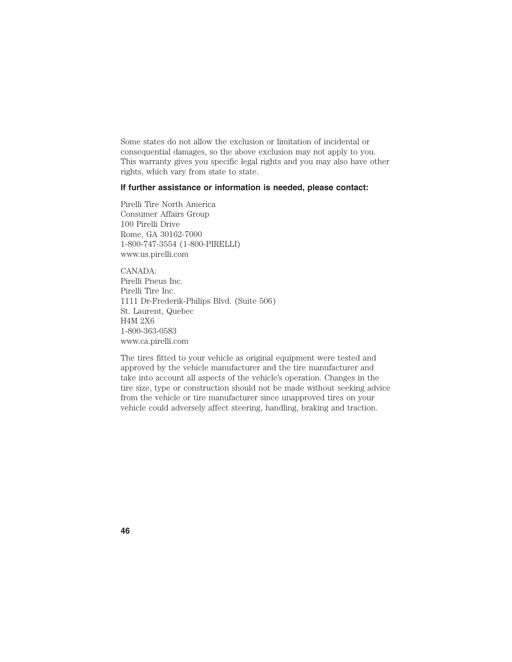Some states do not allow the exclusion or limitation of incidental or consequential damages, so the above exclusion may not apply to you. This warranty gives you specific legal rights and you may also have other rights, which vary from state to state.

# **If further assistance or information is needed, please contact:**

Pirelli Tire North America Consumer Affairs Group 100 Pirelli Drive Rome, GA 30162-7000 1-800-747-3554 (1-800-PIRELLI) www.us.pirelli.com

CANADA: Pirelli Pneus Inc. Pirelli Tire Inc. 1111 Dr-Frederik-Philips Blvd. (Suite 506) St. Laurent, Quebec H4M 2X6 1-800-363-0583 www.ca.pirelli.com

The tires fitted to your vehicle as original equipment were tested and approved by the vehicle manufacturer and the tire manufacturer and take into account all aspects of the vehicle's operation. Changes in the tire size, type or construction should not be made without seeking advice from the vehicle or tire manufacturer since unapproved tires on your vehicle could adversely affect steering, handling, braking and traction.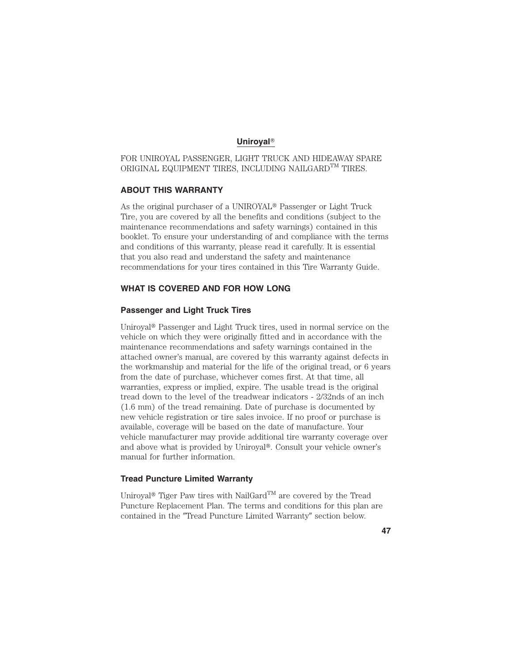### **Uniroyal**-

FOR UNIROYAL PASSENGER, LIGHT TRUCK AND HIDEAWAY SPARE ORIGINAL EQUIPMENT TIRES, INCLUDING NAILGARD  $\texttt{TM}$  TIRES.

# **ABOUT THIS WARRANTY**

As the original purchaser of a UNIROYAL<sup>®</sup> Passenger or Light Truck Tire, you are covered by all the benefits and conditions (subject to the maintenance recommendations and safety warnings) contained in this booklet. To ensure your understanding of and compliance with the terms and conditions of this warranty, please read it carefully. It is essential that you also read and understand the safety and maintenance recommendations for your tires contained in this Tire Warranty Guide.

### **WHAT IS COVERED AND FOR HOW LONG**

# **Passenger and Light Truck Tires**

Uniroyal<sup>®</sup> Passenger and Light Truck tires, used in normal service on the vehicle on which they were originally fitted and in accordance with the maintenance recommendations and safety warnings contained in the attached owner's manual, are covered by this warranty against defects in the workmanship and material for the life of the original tread, or 6 years from the date of purchase, whichever comes first. At that time, all warranties, express or implied, expire. The usable tread is the original tread down to the level of the treadwear indicators - 2/32nds of an inch (1.6 mm) of the tread remaining. Date of purchase is documented by new vehicle registration or tire sales invoice. If no proof or purchase is available, coverage will be based on the date of manufacture. Your vehicle manufacturer may provide additional tire warranty coverage over and above what is provided by Uniroyal<sup>®</sup>. Consult your vehicle owner's manual for further information.

### **Tread Puncture Limited Warranty**

Uniroyal<sup>®</sup> Tiger Paw tires with NailGard<sup>TM</sup> are covered by the Tread Puncture Replacement Plan. The terms and conditions for this plan are contained in the "Tread Puncture Limited Warranty" section below.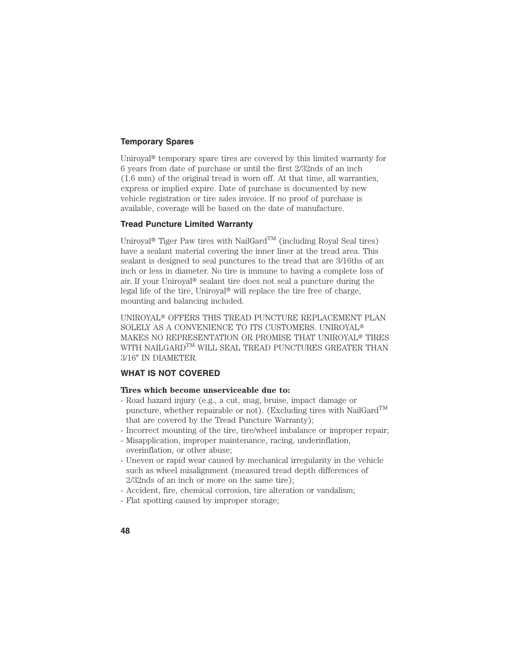# **Temporary Spares**

Uniroyal<sup>®</sup> temporary spare tires are covered by this limited warranty for 6 years from date of purchase or until the first 2/32nds of an inch (1.6 mm) of the original tread is worn off. At that time, all warranties, express or implied expire. Date of purchase is documented by new vehicle registration or tire sales invoice. If no proof of purchase is available, coverage will be based on the date of manufacture.

# **Tread Puncture Limited Warranty**

Uniroyal<sup>®</sup> Tiger Paw tires with NailGard<sup>TM</sup> (including Royal Seal tires) have a sealant material covering the inner liner at the tread area. This sealant is designed to seal punctures to the tread that are 3/16ths of an inch or less in diameter. No tire is immune to having a complete loss of air. If your Uniroyal<sup>®</sup> sealant tire does not seal a puncture during the legal life of the tire, Uniroyal<sup>®</sup> will replace the tire free of charge, mounting and balancing included.

UNIROYAL<sup>®</sup> OFFERS THIS TREAD PUNCTURE REPLACEMENT PLAN SOLELY AS A CONVENIENCE TO ITS CUSTOMERS. UNIROYAL MAKES NO REPRESENTATION OR PROMISE THAT UNIROYAL<sup>®</sup> TIRES WITH NAILGARD<sup>TM</sup> WILL SEAL TREAD PUNCTURES GREATER THAN 3/16" IN DIAMETER.

# **WHAT IS NOT COVERED**

#### **Tires which become unserviceable due to:**

- Road hazard injury (e.g., a cut, snag, bruise, impact damage or puncture, whether repairable or not). (Excluding tires with NailGard<sup>TM</sup> that are covered by the Tread Puncture Warranty);
- Incorrect mounting of the tire, tire/wheel imbalance or improper repair;
- Misapplication, improper maintenance, racing, underinflation, overinflation, or other abuse;
- Uneven or rapid wear caused by mechanical irregularity in the vehicle such as wheel misalignment (measured tread depth differences of 2/32nds of an inch or more on the same tire);
- Accident, fire, chemical corrosion, tire alteration or vandalism;
- Flat spotting caused by improper storage;
- **48**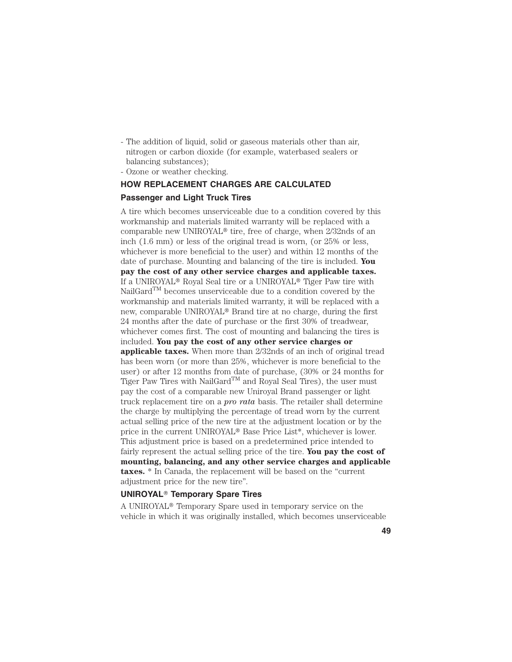- The addition of liquid, solid or gaseous materials other than air, nitrogen or carbon dioxide (for example, waterbased sealers or balancing substances);
- Ozone or weather checking.

# **HOW REPLACEMENT CHARGES ARE CALCULATED**

# **Passenger and Light Truck Tires**

A tire which becomes unserviceable due to a condition covered by this workmanship and materials limited warranty will be replaced with a comparable new UNIROYAL<sup>®</sup> tire, free of charge, when  $2/32$ nds of an inch (1.6 mm) or less of the original tread is worn, (or 25% or less, whichever is more beneficial to the user) and within 12 months of the date of purchase. Mounting and balancing of the tire is included. **You pay the cost of any other service charges and applicable taxes.** If a UNIROYAL<sup>®</sup> Royal Seal tire or a UNIROYAL<sup>®</sup> Tiger Paw tire with  $\text{NailGard}^{\text{TM}}$  becomes unserviceable due to a condition covered by the workmanship and materials limited warranty, it will be replaced with a new, comparable UNIROYAL<sup>®</sup> Brand tire at no charge, during the first 24 months after the date of purchase or the first 30% of treadwear, whichever comes first. The cost of mounting and balancing the tires is included. **You pay the cost of any other service charges or applicable taxes.** When more than 2/32nds of an inch of original tread has been worn (or more than 25%, whichever is more beneficial to the user) or after 12 months from date of purchase, (30% or 24 months for Tiger Paw Tires with NailGard<sup>TM</sup> and Royal Seal Tires), the user must pay the cost of a comparable new Uniroyal Brand passenger or light truck replacement tire on a *pro rata* basis. The retailer shall determine the charge by multiplying the percentage of tread worn by the current actual selling price of the new tire at the adjustment location or by the price in the current UNIROYAL<sup>®</sup> Base Price List\*, whichever is lower. This adjustment price is based on a predetermined price intended to fairly represent the actual selling price of the tire. **You pay the cost of mounting, balancing, and any other service charges and applicable taxes.** \* In Canada, the replacement will be based on the "current adjustment price for the new tire".

#### **UNIROYAL**- **Temporary Spare Tires**

A UNIROYAL<sup>®</sup> Temporary Spare used in temporary service on the vehicle in which it was originally installed, which becomes unserviceable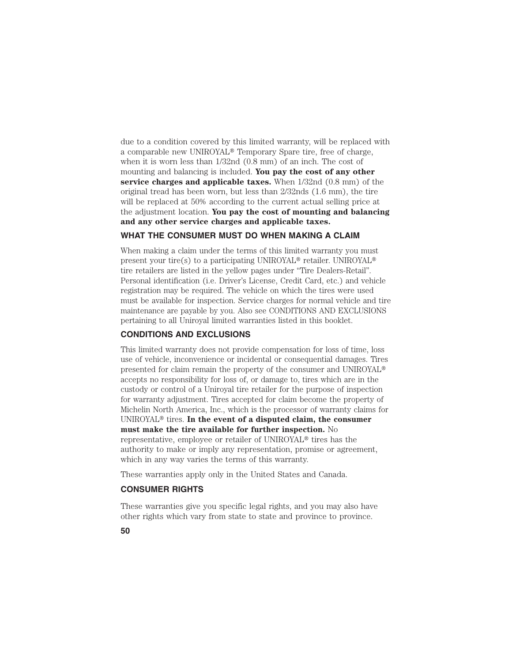due to a condition covered by this limited warranty, will be replaced with a comparable new UNIROYAL<sup>®</sup> Temporary Spare tire, free of charge, when it is worn less than 1/32nd (0.8 mm) of an inch. The cost of mounting and balancing is included. **You pay the cost of any other service charges and applicable taxes.** When 1/32nd (0.8 mm) of the original tread has been worn, but less than 2/32nds (1.6 mm), the tire will be replaced at 50% according to the current actual selling price at the adjustment location. **You pay the cost of mounting and balancing and any other service charges and applicable taxes.**

# **WHAT THE CONSUMER MUST DO WHEN MAKING A CLAIM**

When making a claim under the terms of this limited warranty you must present your tire(s) to a participating UNIROYAL<sup>®</sup> retailer. UNIROYAL<sup>®</sup> tire retailers are listed in the yellow pages under "Tire Dealers-Retail". Personal identification (i.e. Driver's License, Credit Card, etc.) and vehicle registration may be required. The vehicle on which the tires were used must be available for inspection. Service charges for normal vehicle and tire maintenance are payable by you. Also see CONDITIONS AND EXCLUSIONS pertaining to all Uniroyal limited warranties listed in this booklet.

# **CONDITIONS AND EXCLUSIONS**

This limited warranty does not provide compensation for loss of time, loss use of vehicle, inconvenience or incidental or consequential damages. Tires presented for claim remain the property of the consumer and UNIROYAL accepts no responsibility for loss of, or damage to, tires which are in the custody or control of a Uniroyal tire retailer for the purpose of inspection for warranty adjustment. Tires accepted for claim become the property of Michelin North America, Inc., which is the processor of warranty claims for UNIROYAL<sup>®</sup> tires. In the event of a disputed claim, the consumer **must make the tire available for further inspection.** No representative, employee or retailer of UNIROYAL<sup>®</sup> tires has the authority to make or imply any representation, promise or agreement, which in any way varies the terms of this warranty.

These warranties apply only in the United States and Canada.

# **CONSUMER RIGHTS**

These warranties give you specific legal rights, and you may also have other rights which vary from state to state and province to province.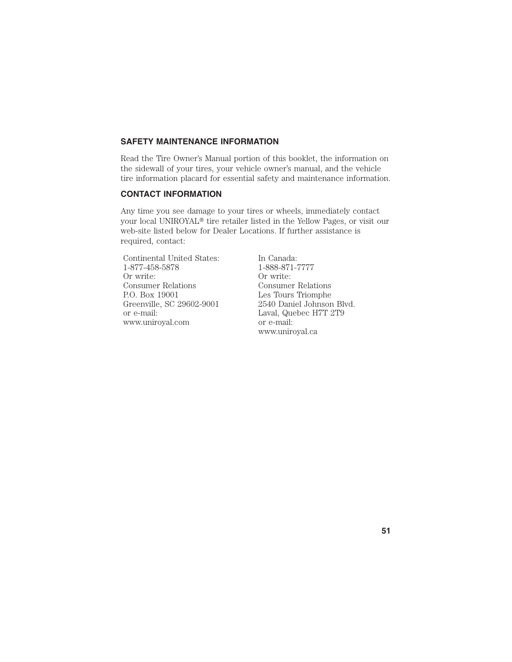### **SAFETY MAINTENANCE INFORMATION**

Read the Tire Owner's Manual portion of this booklet, the information on the sidewall of your tires, your vehicle owner's manual, and the vehicle tire information placard for essential safety and maintenance information.

# **CONTACT INFORMATION**

Any time you see damage to your tires or wheels, immediately contact your local UNIROYAL<sup>®</sup> tire retailer listed in the Yellow Pages, or visit our web-site listed below for Dealer Locations. If further assistance is required, contact:

Continental United States: In Canada: 1-877-458-5878 1-888-871-7777<br>Or write: Or write: Consumer Relations P.O. Box 19001 P.O. Box 19001 Les Tours Triomphe<br>Greenville, SC 29602-9001 2540 Daniel Johnson or e-mail: Laval, Quebec H7T 2T9 www.uniroyal.com or e-mail:

Or write:<br>Consumer Relations 2540 Daniel Johnson Blvd. www.uniroyal.ca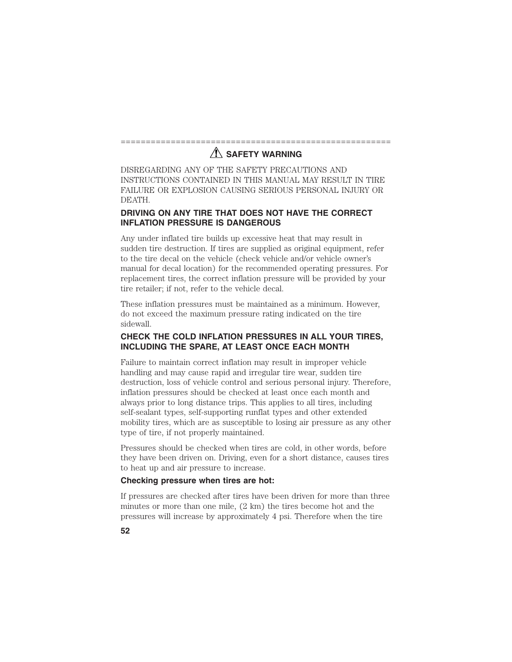# ====================================================== **AND SAFETY WARNING**

DISREGARDING ANY OF THE SAFETY PRECAUTIONS AND INSTRUCTIONS CONTAINED IN THIS MANUAL MAY RESULT IN TIRE FAILURE OR EXPLOSION CAUSING SERIOUS PERSONAL INJURY OR DEATH.

# **DRIVING ON ANY TIRE THAT DOES NOT HAVE THE CORRECT INFLATION PRESSURE IS DANGEROUS**

Any under inflated tire builds up excessive heat that may result in sudden tire destruction. If tires are supplied as original equipment, refer to the tire decal on the vehicle (check vehicle and/or vehicle owner's manual for decal location) for the recommended operating pressures. For replacement tires, the correct inflation pressure will be provided by your tire retailer; if not, refer to the vehicle decal.

These inflation pressures must be maintained as a minimum. However, do not exceed the maximum pressure rating indicated on the tire sidewall.

# **CHECK THE COLD INFLATION PRESSURES IN ALL YOUR TIRES, INCLUDING THE SPARE, AT LEAST ONCE EACH MONTH**

Failure to maintain correct inflation may result in improper vehicle handling and may cause rapid and irregular tire wear, sudden tire destruction, loss of vehicle control and serious personal injury. Therefore, inflation pressures should be checked at least once each month and always prior to long distance trips. This applies to all tires, including self-sealant types, self-supporting runflat types and other extended mobility tires, which are as susceptible to losing air pressure as any other type of tire, if not properly maintained.

Pressures should be checked when tires are cold, in other words, before they have been driven on. Driving, even for a short distance, causes tires to heat up and air pressure to increase.

### **Checking pressure when tires are hot:**

If pressures are checked after tires have been driven for more than three minutes or more than one mile, (2 km) the tires become hot and the pressures will increase by approximately 4 psi. Therefore when the tire

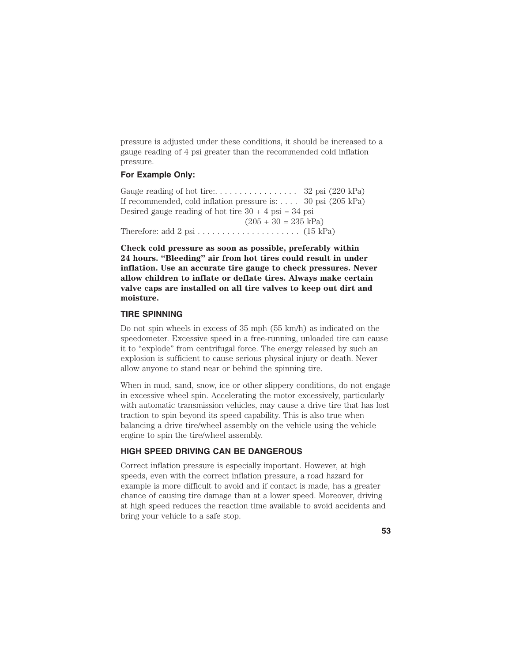pressure is adjusted under these conditions, it should be increased to a gauge reading of 4 psi greater than the recommended cold inflation pressure.

# **For Example Only:**

Gauge reading of hot tire:. . . . . . . . . . . . . . . . . 32 psi (220 kPa) If recommended, cold inflation pressure is: . . . . 30 psi (205 kPa) Desired gauge reading of hot tire  $30 + 4$  psi = 34 psi  $(205 + 30 = 235 \text{ kPa})$ Therefore: add 2 psi . . . . . . . . . . . . . . . . . . . . . (15 kPa)

**Check cold pressure as soon as possible, preferably within 24 hours. "Bleeding" air from hot tires could result in under inflation. Use an accurate tire gauge to check pressures. Never allow children to inflate or deflate tires. Always make certain valve caps are installed on all tire valves to keep out dirt and moisture.**

# **TIRE SPINNING**

Do not spin wheels in excess of 35 mph (55 km/h) as indicated on the speedometer. Excessive speed in a free-running, unloaded tire can cause it to "explode" from centrifugal force. The energy released by such an explosion is sufficient to cause serious physical injury or death. Never allow anyone to stand near or behind the spinning tire.

When in mud, sand, snow, ice or other slippery conditions, do not engage in excessive wheel spin. Accelerating the motor excessively, particularly with automatic transmission vehicles, may cause a drive tire that has lost traction to spin beyond its speed capability. This is also true when balancing a drive tire/wheel assembly on the vehicle using the vehicle engine to spin the tire/wheel assembly.

### **HIGH SPEED DRIVING CAN BE DANGEROUS**

Correct inflation pressure is especially important. However, at high speeds, even with the correct inflation pressure, a road hazard for example is more difficult to avoid and if contact is made, has a greater chance of causing tire damage than at a lower speed. Moreover, driving at high speed reduces the reaction time available to avoid accidents and bring your vehicle to a safe stop.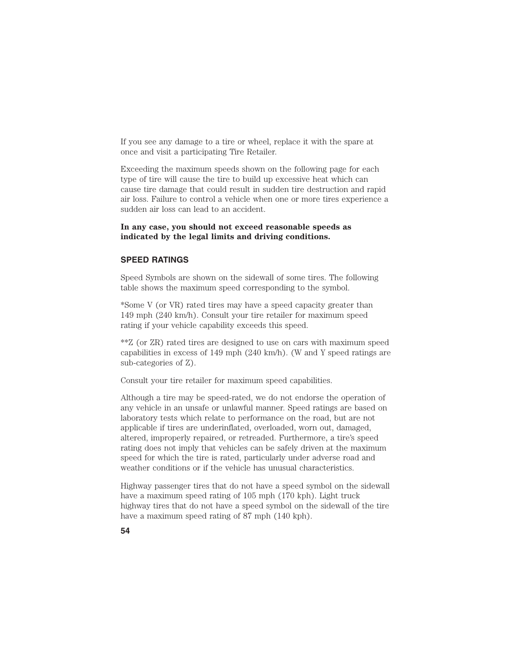If you see any damage to a tire or wheel, replace it with the spare at once and visit a participating Tire Retailer.

Exceeding the maximum speeds shown on the following page for each type of tire will cause the tire to build up excessive heat which can cause tire damage that could result in sudden tire destruction and rapid air loss. Failure to control a vehicle when one or more tires experience a sudden air loss can lead to an accident.

# **In any case, you should not exceed reasonable speeds as indicated by the legal limits and driving conditions.**

#### **SPEED RATINGS**

Speed Symbols are shown on the sidewall of some tires. The following table shows the maximum speed corresponding to the symbol.

\*Some V (or VR) rated tires may have a speed capacity greater than 149 mph (240 km/h). Consult your tire retailer for maximum speed rating if your vehicle capability exceeds this speed.

\*\*Z (or ZR) rated tires are designed to use on cars with maximum speed capabilities in excess of 149 mph (240 km/h). (W and Y speed ratings are sub-categories of Z).

Consult your tire retailer for maximum speed capabilities.

Although a tire may be speed-rated, we do not endorse the operation of any vehicle in an unsafe or unlawful manner. Speed ratings are based on laboratory tests which relate to performance on the road, but are not applicable if tires are underinflated, overloaded, worn out, damaged, altered, improperly repaired, or retreaded. Furthermore, a tire's speed rating does not imply that vehicles can be safely driven at the maximum speed for which the tire is rated, particularly under adverse road and weather conditions or if the vehicle has unusual characteristics.

Highway passenger tires that do not have a speed symbol on the sidewall have a maximum speed rating of 105 mph (170 kph). Light truck highway tires that do not have a speed symbol on the sidewall of the tire have a maximum speed rating of 87 mph (140 kph).

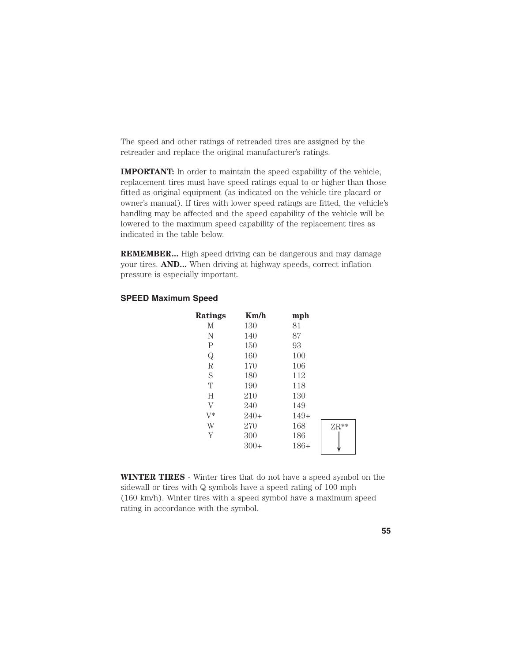The speed and other ratings of retreaded tires are assigned by the retreader and replace the original manufacturer's ratings.

**IMPORTANT:** In order to maintain the speed capability of the vehicle, replacement tires must have speed ratings equal to or higher than those fitted as original equipment (as indicated on the vehicle tire placard or owner's manual). If tires with lower speed ratings are fitted, the vehicle's handling may be affected and the speed capability of the vehicle will be lowered to the maximum speed capability of the replacement tires as indicated in the table below.

**REMEMBER...** High speed driving can be dangerous and may damage your tires. **AND...** When driving at highway speeds, correct inflation pressure is especially important.

# **SPEED Maximum Speed**

| <b>Ratings</b> | Km/h   | mph    |               |
|----------------|--------|--------|---------------|
| М              | 130    | 81     |               |
| N              | 140    | 87     |               |
| $\mathsf{P}$   | 150    | 93     |               |
| $\mathbf Q$    | 160    | 100    |               |
| $\mathbb R$    | 170    | 106    |               |
| S              | 180    | 112    |               |
| T              | 190    | 118    |               |
| H              | 210    | 130    |               |
| $\rm V$        | 240    | 149    |               |
| $V^*$          | $240+$ | $149+$ |               |
| W              | 270    | 168    | $\text{ZR}^*$ |
| Y              | 300    | 186    |               |
|                | $300+$ | $186+$ |               |
|                |        |        |               |

**WINTER TIRES** - Winter tires that do not have a speed symbol on the sidewall or tires with Q symbols have a speed rating of 100 mph (160 km/h). Winter tires with a speed symbol have a maximum speed rating in accordance with the symbol.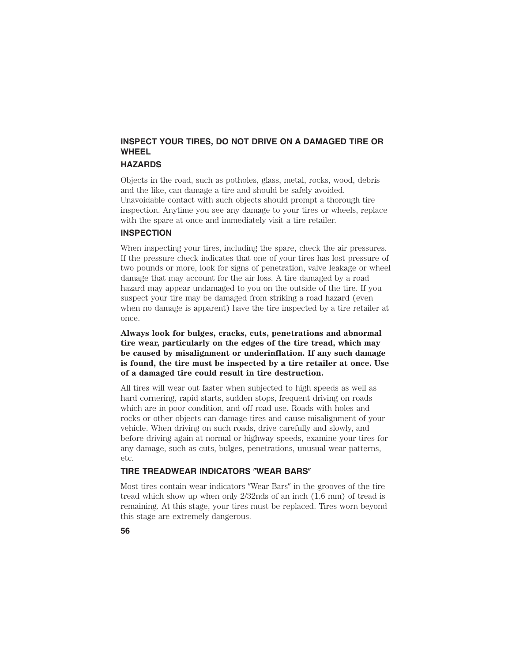# **INSPECT YOUR TIRES, DO NOT DRIVE ON A DAMAGED TIRE OR WHEEL**

# **HAZARDS**

Objects in the road, such as potholes, glass, metal, rocks, wood, debris and the like, can damage a tire and should be safely avoided. Unavoidable contact with such objects should prompt a thorough tire inspection. Anytime you see any damage to your tires or wheels, replace with the spare at once and immediately visit a tire retailer.

# **INSPECTION**

When inspecting your tires, including the spare, check the air pressures. If the pressure check indicates that one of your tires has lost pressure of two pounds or more, look for signs of penetration, valve leakage or wheel damage that may account for the air loss. A tire damaged by a road hazard may appear undamaged to you on the outside of the tire. If you suspect your tire may be damaged from striking a road hazard (even when no damage is apparent) have the tire inspected by a tire retailer at once.

**Always look for bulges, cracks, cuts, penetrations and abnormal tire wear, particularly on the edges of the tire tread, which may be caused by misalignment or underinflation. If any such damage is found, the tire must be inspected by a tire retailer at once. Use of a damaged tire could result in tire destruction.**

All tires will wear out faster when subjected to high speeds as well as hard cornering, rapid starts, sudden stops, frequent driving on roads which are in poor condition, and off road use. Roads with holes and rocks or other objects can damage tires and cause misalignment of your vehicle. When driving on such roads, drive carefully and slowly, and before driving again at normal or highway speeds, examine your tires for any damage, such as cuts, bulges, penetrations, unusual wear patterns, etc.

# **TIRE TREADWEAR INDICATORS "WEAR BARS"**

Most tires contain wear indicators "Wear Bars" in the grooves of the tire tread which show up when only 2/32nds of an inch (1.6 mm) of tread is remaining. At this stage, your tires must be replaced. Tires worn beyond this stage are extremely dangerous.

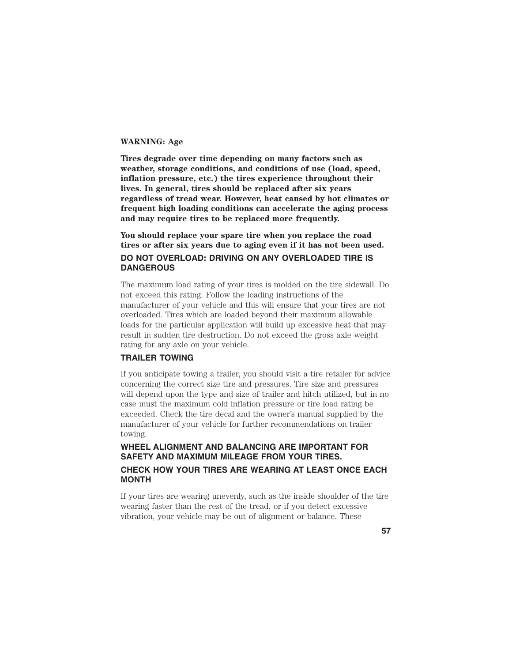### **WARNING: Age**

**Tires degrade over time depending on many factors such as weather, storage conditions, and conditions of use (load, speed, inflation pressure, etc.) the tires experience throughout their lives. In general, tires should be replaced after six years regardless of tread wear. However, heat caused by hot climates or frequent high loading conditions can accelerate the aging process and may require tires to be replaced more frequently.**

**You should replace your spare tire when you replace the road tires or after six years due to aging even if it has not been used. DO NOT OVERLOAD: DRIVING ON ANY OVERLOADED TIRE IS DANGEROUS**

The maximum load rating of your tires is molded on the tire sidewall. Do not exceed this rating. Follow the loading instructions of the manufacturer of your vehicle and this will ensure that your tires are not overloaded. Tires which are loaded beyond their maximum allowable loads for the particular application will build up excessive heat that may result in sudden tire destruction. Do not exceed the gross axle weight rating for any axle on your vehicle.

# **TRAILER TOWING**

If you anticipate towing a trailer, you should visit a tire retailer for advice concerning the correct size tire and pressures. Tire size and pressures will depend upon the type and size of trailer and hitch utilized, but in no case must the maximum cold inflation pressure or tire load rating be exceeded. Check the tire decal and the owner's manual supplied by the manufacturer of your vehicle for further recommendations on trailer towing.

# **WHEEL ALIGNMENT AND BALANCING ARE IMPORTANT FOR SAFETY AND MAXIMUM MILEAGE FROM YOUR TIRES. CHECK HOW YOUR TIRES ARE WEARING AT LEAST ONCE EACH MONTH**

If your tires are wearing unevenly, such as the inside shoulder of the tire wearing faster than the rest of the tread, or if you detect excessive vibration, your vehicle may be out of alignment or balance. These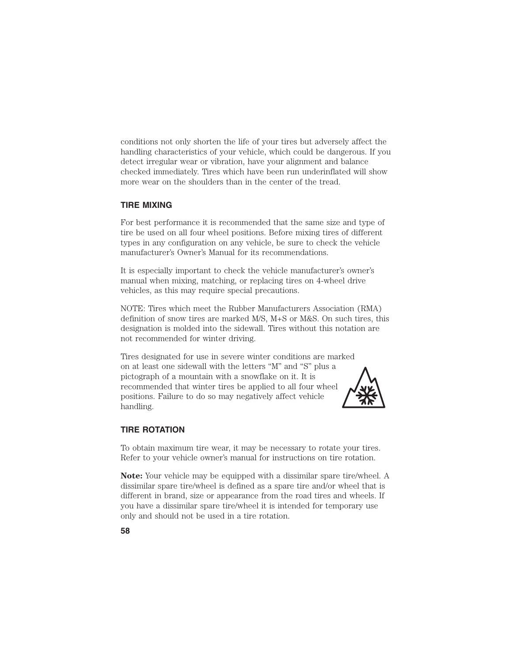conditions not only shorten the life of your tires but adversely affect the handling characteristics of your vehicle, which could be dangerous. If you detect irregular wear or vibration, have your alignment and balance checked immediately. Tires which have been run underinflated will show more wear on the shoulders than in the center of the tread.

# **TIRE MIXING**

For best performance it is recommended that the same size and type of tire be used on all four wheel positions. Before mixing tires of different types in any configuration on any vehicle, be sure to check the vehicle manufacturer's Owner's Manual for its recommendations.

It is especially important to check the vehicle manufacturer's owner's manual when mixing, matching, or replacing tires on 4-wheel drive vehicles, as this may require special precautions.

NOTE: Tires which meet the Rubber Manufacturers Association (RMA) definition of snow tires are marked M/S, M+S or M&S. On such tires, this designation is molded into the sidewall. Tires without this notation are not recommended for winter driving.

Tires designated for use in severe winter conditions are marked on at least one sidewall with the letters ''M" and ''S" plus a pictograph of a mountain with a snowflake on it. It is recommended that winter tires be applied to all four wheel positions. Failure to do so may negatively affect vehicle handling.



# **TIRE ROTATION**

To obtain maximum tire wear, it may be necessary to rotate your tires. Refer to your vehicle owner's manual for instructions on tire rotation.

**Note:** Your vehicle may be equipped with a dissimilar spare tire/wheel. A dissimilar spare tire/wheel is defined as a spare tire and/or wheel that is different in brand, size or appearance from the road tires and wheels. If you have a dissimilar spare tire/wheel it is intended for temporary use only and should not be used in a tire rotation.

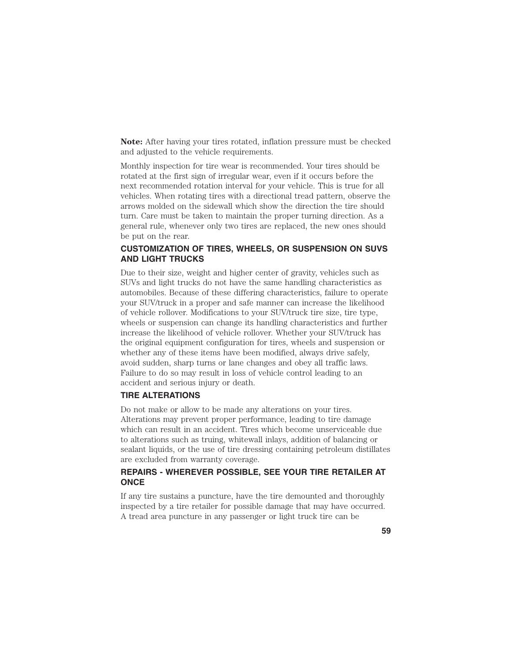**Note:** After having your tires rotated, inflation pressure must be checked and adjusted to the vehicle requirements.

Monthly inspection for tire wear is recommended. Your tires should be rotated at the first sign of irregular wear, even if it occurs before the next recommended rotation interval for your vehicle. This is true for all vehicles. When rotating tires with a directional tread pattern, observe the arrows molded on the sidewall which show the direction the tire should turn. Care must be taken to maintain the proper turning direction. As a general rule, whenever only two tires are replaced, the new ones should be put on the rear.

# **CUSTOMIZATION OF TIRES, WHEELS, OR SUSPENSION ON SUVS AND LIGHT TRUCKS**

Due to their size, weight and higher center of gravity, vehicles such as SUVs and light trucks do not have the same handling characteristics as automobiles. Because of these differing characteristics, failure to operate your SUV/truck in a proper and safe manner can increase the likelihood of vehicle rollover. Modifications to your SUV/truck tire size, tire type, wheels or suspension can change its handling characteristics and further increase the likelihood of vehicle rollover. Whether your SUV/truck has the original equipment configuration for tires, wheels and suspension or whether any of these items have been modified, always drive safely, avoid sudden, sharp turns or lane changes and obey all traffic laws. Failure to do so may result in loss of vehicle control leading to an accident and serious injury or death.

# **TIRE ALTERATIONS**

Do not make or allow to be made any alterations on your tires. Alterations may prevent proper performance, leading to tire damage which can result in an accident. Tires which become unserviceable due to alterations such as truing, whitewall inlays, addition of balancing or sealant liquids, or the use of tire dressing containing petroleum distillates are excluded from warranty coverage.

# **REPAIRS - WHEREVER POSSIBLE, SEE YOUR TIRE RETAILER AT ONCE**

If any tire sustains a puncture, have the tire demounted and thoroughly inspected by a tire retailer for possible damage that may have occurred. A tread area puncture in any passenger or light truck tire can be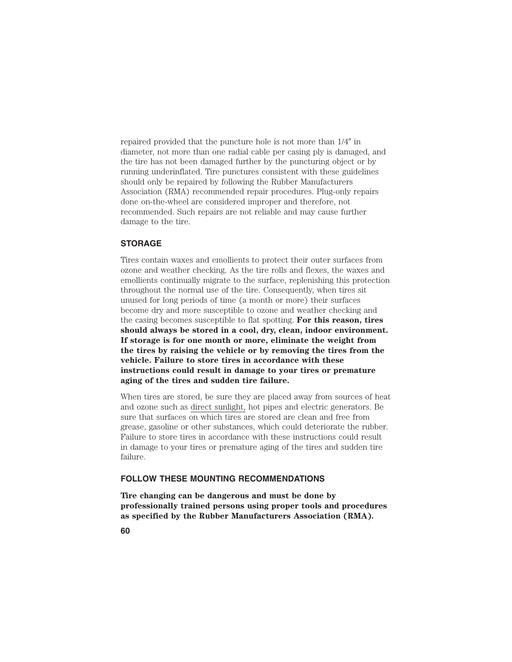repaired provided that the puncture hole is not more than  $1/4$ " in diameter, not more than one radial cable per casing ply is damaged, and the tire has not been damaged further by the puncturing object or by running underinflated. Tire punctures consistent with these guidelines should only be repaired by following the Rubber Manufacturers Association (RMA) recommended repair procedures. Plug-only repairs done on-the-wheel are considered improper and therefore, not recommended. Such repairs are not reliable and may cause further damage to the tire.

# **STORAGE**

Tires contain waxes and emollients to protect their outer surfaces from ozone and weather checking. As the tire rolls and flexes, the waxes and emollients continually migrate to the surface, replenishing this protection throughout the normal use of the tire. Consequently, when tires sit unused for long periods of time (a month or more) their surfaces become dry and more susceptible to ozone and weather checking and the casing becomes susceptible to flat spotting. **For this reason, tires should always be stored in a cool, dry, clean, indoor environment. If storage is for one month or more, eliminate the weight from the tires by raising the vehicle or by removing the tires from the vehicle. Failure to store tires in accordance with these instructions could result in damage to your tires or premature aging of the tires and sudden tire failure.**

When tires are stored, be sure they are placed away from sources of heat and ozone such as direct sunlight, hot pipes and electric generators. Be sure that surfaces on which tires are stored are clean and free from grease, gasoline or other substances, which could deteriorate the rubber. Failure to store tires in accordance with these instructions could result in damage to your tires or premature aging of the tires and sudden tire failure.

### **FOLLOW THESE MOUNTING RECOMMENDATIONS**

**Tire changing can be dangerous and must be done by professionally trained persons using proper tools and procedures as specified by the Rubber Manufacturers Association (RMA).**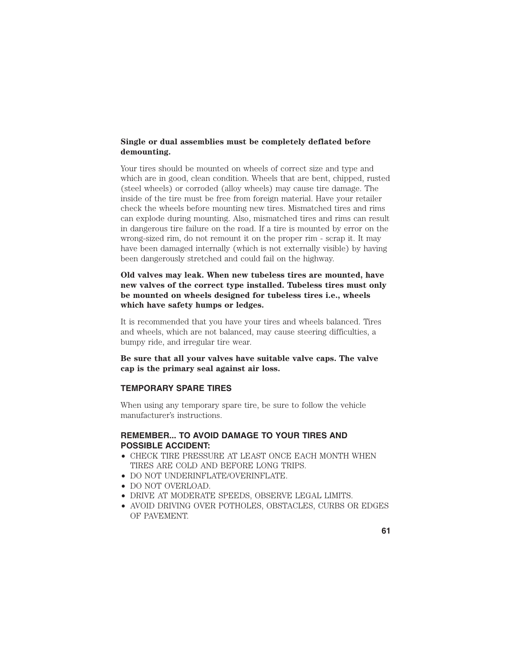# **Single or dual assemblies must be completely deflated before demounting.**

Your tires should be mounted on wheels of correct size and type and which are in good, clean condition. Wheels that are bent, chipped, rusted (steel wheels) or corroded (alloy wheels) may cause tire damage. The inside of the tire must be free from foreign material. Have your retailer check the wheels before mounting new tires. Mismatched tires and rims can explode during mounting. Also, mismatched tires and rims can result in dangerous tire failure on the road. If a tire is mounted by error on the wrong-sized rim, do not remount it on the proper rim - scrap it. It may have been damaged internally (which is not externally visible) by having been dangerously stretched and could fail on the highway.

**Old valves may leak. When new tubeless tires are mounted, have new valves of the correct type installed. Tubeless tires must only be mounted on wheels designed for tubeless tires i.e., wheels which have safety humps or ledges.**

It is recommended that you have your tires and wheels balanced. Tires and wheels, which are not balanced, may cause steering difficulties, a bumpy ride, and irregular tire wear.

**Be sure that all your valves have suitable valve caps. The valve cap is the primary seal against air loss.**

### **TEMPORARY SPARE TIRES**

When using any temporary spare tire, be sure to follow the vehicle manufacturer's instructions.

# **REMEMBER... TO AVOID DAMAGE TO YOUR TIRES AND POSSIBLE ACCIDENT:**

- CHECK TIRE PRESSURE AT LEAST ONCE EACH MONTH WHEN TIRES ARE COLD AND BEFORE LONG TRIPS.
- DO NOT UNDERINFLATE/OVERINFLATE.
- DO NOT OVERLOAD.
- DRIVE AT MODERATE SPEEDS, OBSERVE LEGAL LIMITS.
- AVOID DRIVING OVER POTHOLES, OBSTACLES, CURBS OR EDGES OF PAVEMENT.